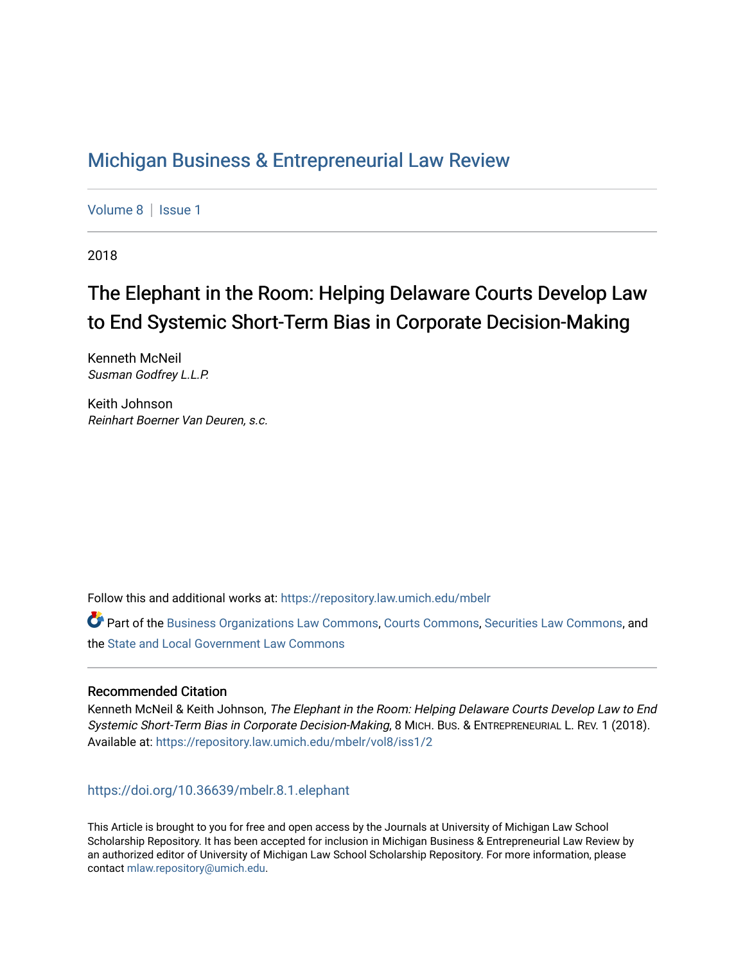## [Michigan Business & Entrepreneurial Law Review](https://repository.law.umich.edu/mbelr)

[Volume 8](https://repository.law.umich.edu/mbelr/vol8) | Issue 1

2018

# The Elephant in the Room: Helping Delaware Courts Develop Law to End Systemic Short-Term Bias in Corporate Decision-Making

Kenneth McNeil Susman Godfrey L.L.P.

Keith Johnson Reinhart Boerner Van Deuren, s.c.

Follow this and additional works at: [https://repository.law.umich.edu/mbelr](https://repository.law.umich.edu/mbelr?utm_source=repository.law.umich.edu%2Fmbelr%2Fvol8%2Fiss1%2F2&utm_medium=PDF&utm_campaign=PDFCoverPages)

Part of the [Business Organizations Law Commons](http://network.bepress.com/hgg/discipline/900?utm_source=repository.law.umich.edu%2Fmbelr%2Fvol8%2Fiss1%2F2&utm_medium=PDF&utm_campaign=PDFCoverPages), [Courts Commons](http://network.bepress.com/hgg/discipline/839?utm_source=repository.law.umich.edu%2Fmbelr%2Fvol8%2Fiss1%2F2&utm_medium=PDF&utm_campaign=PDFCoverPages), [Securities Law Commons,](http://network.bepress.com/hgg/discipline/619?utm_source=repository.law.umich.edu%2Fmbelr%2Fvol8%2Fiss1%2F2&utm_medium=PDF&utm_campaign=PDFCoverPages) and the [State and Local Government Law Commons](http://network.bepress.com/hgg/discipline/879?utm_source=repository.law.umich.edu%2Fmbelr%2Fvol8%2Fiss1%2F2&utm_medium=PDF&utm_campaign=PDFCoverPages) 

#### Recommended Citation

Kenneth McNeil & Keith Johnson, The Elephant in the Room: Helping Delaware Courts Develop Law to End Systemic Short-Term Bias in Corporate Decision-Making, 8 MICH. BUS. & ENTREPRENEURIAL L. REV. 1 (2018). Available at: [https://repository.law.umich.edu/mbelr/vol8/iss1/2](https://repository.law.umich.edu/mbelr/vol8/iss1/2?utm_source=repository.law.umich.edu%2Fmbelr%2Fvol8%2Fiss1%2F2&utm_medium=PDF&utm_campaign=PDFCoverPages) 

### <https://doi.org/10.36639/mbelr.8.1.elephant>

This Article is brought to you for free and open access by the Journals at University of Michigan Law School Scholarship Repository. It has been accepted for inclusion in Michigan Business & Entrepreneurial Law Review by an authorized editor of University of Michigan Law School Scholarship Repository. For more information, please contact [mlaw.repository@umich.edu](mailto:mlaw.repository@umich.edu).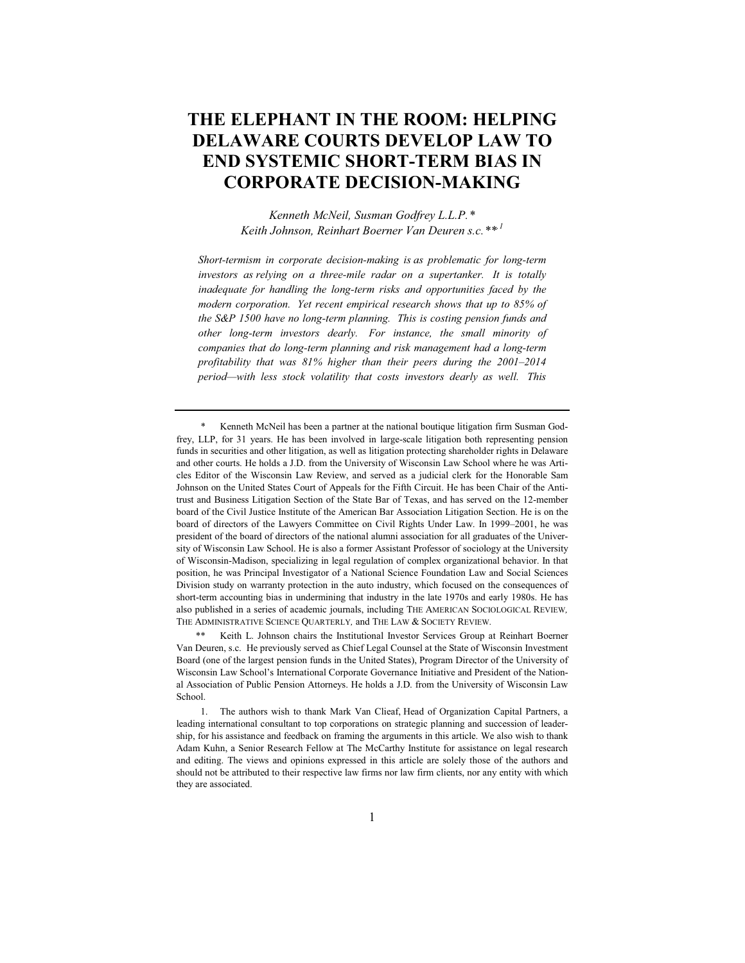### **THE ELEPHANT IN THE ROOM: HELPING DELAWARE COURTS DEVELOP LAW TO END SYSTEMIC SHORT-TERM BIAS IN CORPORATE DECISION-MAKING**

*Kenneth McNeil, Susman Godfrey L.L.P.\* Keith Johnson, Reinhart Boerner Van Deuren s.c.\*\*,1*

*Short-termism in corporate decision-making is as problematic for long-term investors as relying on a three-mile radar on a supertanker. It is totally inadequate for handling the long-term risks and opportunities faced by the modern corporation. Yet recent empirical research shows that up to 85% of the S&P 1500 have no long-term planning. This is costing pension funds and other long-term investors dearly. For instance, the small minority of companies that do long-term planning and risk management had a long-term profitability that was 81% higher than their peers during the 2001–2014 period—with less stock volatility that costs investors dearly as well. This* 

Kenneth McNeil has been a partner at the national boutique litigation firm Susman Godfrey, LLP, for 31 years. He has been involved in large-scale litigation both representing pension funds in securities and other litigation, as well as litigation protecting shareholder rights in Delaware and other courts. He holds a J.D. from the University of Wisconsin Law School where he was Articles Editor of the Wisconsin Law Review, and served as a judicial clerk for the Honorable Sam Johnson on the United States Court of Appeals for the Fifth Circuit. He has been Chair of the Antitrust and Business Litigation Section of the State Bar of Texas, and has served on the 12-member board of the Civil Justice Institute of the American Bar Association Litigation Section. He is on the board of directors of the Lawyers Committee on Civil Rights Under Law. In 1999–2001, he was president of the board of directors of the national alumni association for all graduates of the University of Wisconsin Law School. He is also a former Assistant Professor of sociology at the University of Wisconsin-Madison, specializing in legal regulation of complex organizational behavior. In that position, he was Principal Investigator of a National Science Foundation Law and Social Sciences Division study on warranty protection in the auto industry, which focused on the consequences of short-term accounting bias in undermining that industry in the late 1970s and early 1980s. He has also published in a series of academic journals, including THE AMERICAN SOCIOLOGICAL REVIEW*,* THE ADMINISTRATIVE SCIENCE QUARTERLY*,* and THE LAW & SOCIETY REVIEW*.*

Keith L. Johnson chairs the Institutional Investor Services Group at Reinhart Boerner Van Deuren, s.c. He previously served as Chief Legal Counsel at the State of Wisconsin Investment Board (one of the largest pension funds in the United States), Program Director of the University of Wisconsin Law School's International Corporate Governance Initiative and President of the National Association of Public Pension Attorneys. He holds a J.D. from the University of Wisconsin Law School.

1. The authors wish to thank Mark Van Clieaf, Head of Organization Capital Partners, a leading international consultant to top corporations on strategic planning and succession of leadership, for his assistance and feedback on framing the arguments in this article. We also wish to thank Adam Kuhn, a Senior Research Fellow at The McCarthy Institute for assistance on legal research and editing. The views and opinions expressed in this article are solely those of the authors and should not be attributed to their respective law firms nor law firm clients, nor any entity with which they are associated.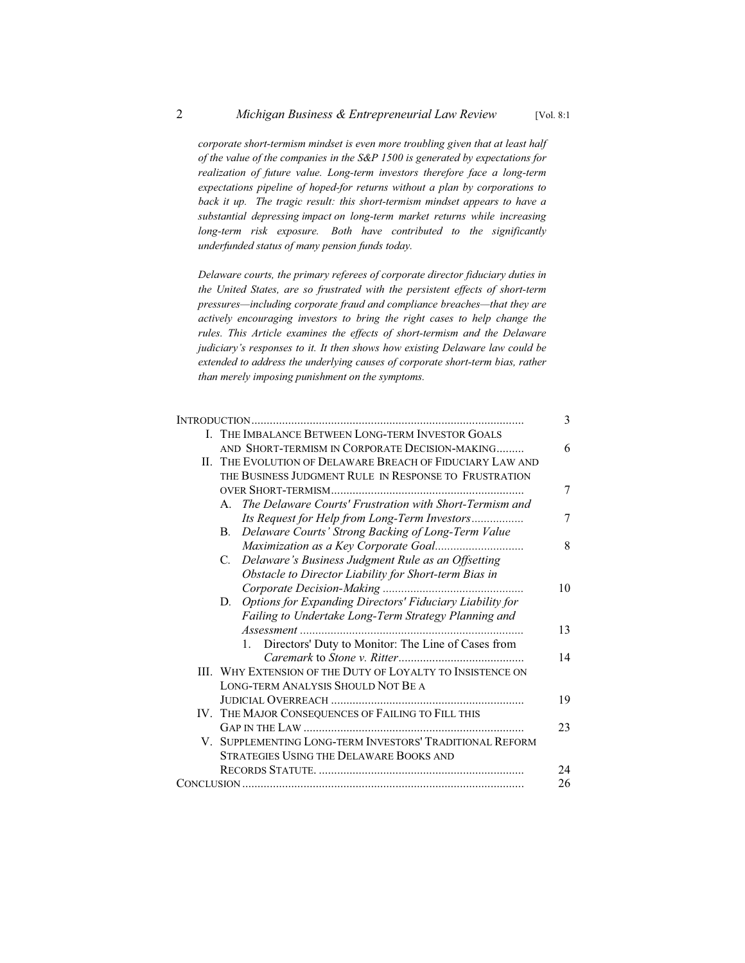*corporate short-termism mindset is even more troubling given that at least half of the value of the companies in the S&P 1500 is generated by expectations for realization of future value. Long-term investors therefore face a long-term expectations pipeline of hoped-for returns without a plan by corporations to*  back it up. The tragic result: this short-termism mindset appears to have a *substantial depressing impact on long-term market returns while increasing long-term risk exposure. Both have contributed to the significantly underfunded status of many pension funds today.*

*Delaware courts, the primary referees of corporate director fiduciary duties in the United States, are so frustrated with the persistent effects of short-term pressures—including corporate fraud and compliance breaches—that they are actively encouraging investors to bring the right cases to help change the rules. This Article examines the effects of short-termism and the Delaware judiciary's responses to it. It then shows how existing Delaware law could be extended to address the underlying causes of corporate short-term bias, rather than merely imposing punishment on the symptoms.*

|  |                                                                       | 3  |
|--|-----------------------------------------------------------------------|----|
|  | I. THE IMBALANCE BETWEEN LONG-TERM INVESTOR GOALS                     |    |
|  | AND SHORT-TERMISM IN CORPORATE DECISION-MAKING                        | 6  |
|  | II. THE EVOLUTION OF DELAWARE BREACH OF FIDUCIARY LAW AND             |    |
|  | THE BUSINESS JUDGMENT RULE IN RESPONSE TO FRUSTRATION                 |    |
|  |                                                                       | 7  |
|  | The Delaware Courts' Frustration with Short-Termism and<br>A.         |    |
|  | Its Request for Help from Long-Term Investors                         | 7  |
|  | Delaware Courts' Strong Backing of Long-Term Value<br>В.              |    |
|  |                                                                       | 8  |
|  | Delaware's Business Judgment Rule as an Offsetting<br>C.              |    |
|  | Obstacle to Director Liability for Short-term Bias in                 |    |
|  |                                                                       | 10 |
|  | <b>Options for Expanding Directors' Fiduciary Liability for</b><br>D. |    |
|  | Failing to Undertake Long-Term Strategy Planning and                  |    |
|  |                                                                       | 13 |
|  | Directors' Duty to Monitor: The Line of Cases from<br>1.              |    |
|  |                                                                       | 14 |
|  | <b>III. WHY EXTENSION OF THE DUTY OF LOYALTY TO INSISTENCE ON</b>     |    |
|  | LONG-TERM ANALYSIS SHOULD NOT BE A                                    |    |
|  |                                                                       | 19 |
|  | IV. THE MAJOR CONSEQUENCES OF FAILING TO FILL THIS                    |    |
|  |                                                                       | 23 |
|  | V. SUPPLEMENTING LONG-TERM INVESTORS' TRADITIONAL REFORM              |    |
|  | <b>STRATEGIES USING THE DELAWARE BOOKS AND</b>                        |    |
|  |                                                                       | 24 |
|  |                                                                       | 26 |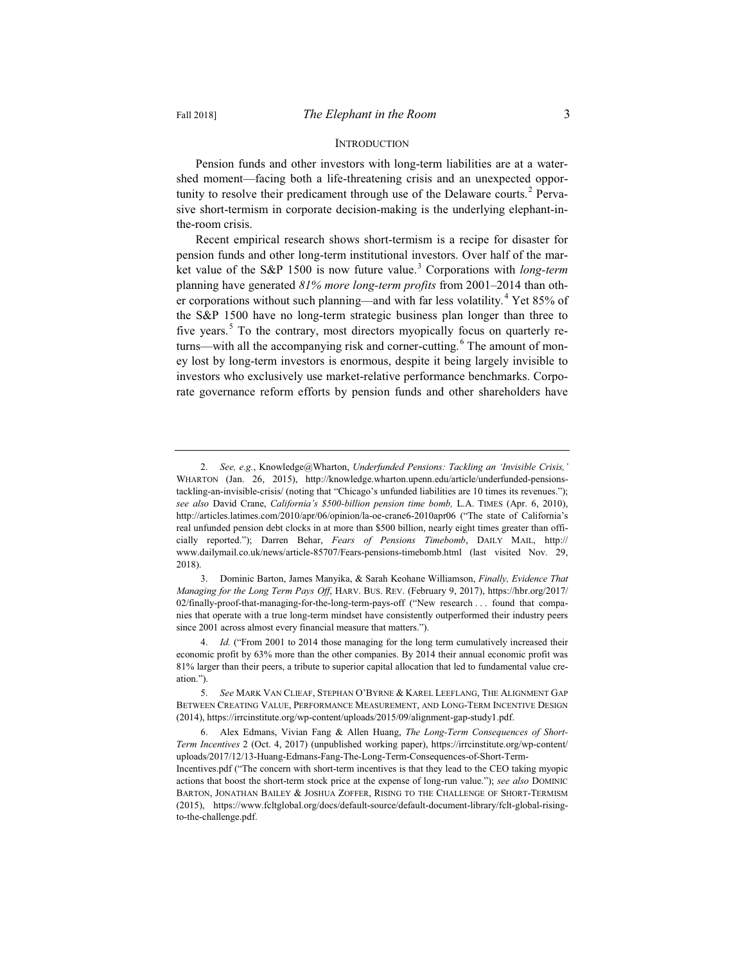#### INTRODUCTION

Pension funds and other investors with long-term liabilities are at a watershed moment—facing both a life-threatening crisis and an unexpected opportunity to resolve their predicament through use of the Delaware courts.<sup>2</sup> Pervasive short-termism in corporate decision-making is the underlying elephant-inthe-room crisis.

Recent empirical research shows short-termism is a recipe for disaster for pension funds and other long-term institutional investors. Over half of the market value of the S&P 1500 is now future value.<sup>3</sup> Corporations with *long-term* planning have generated *81% more long-term profits* from 2001–2014 than other corporations without such planning—and with far less volatility.<sup>4</sup> Yet 85% of the S&P 1500 have no long-term strategic business plan longer than three to five years.<sup>5</sup> To the contrary, most directors myopically focus on quarterly returns—with all the accompanying risk and corner-cutting.<sup>6</sup> The amount of money lost by long-term investors is enormous, despite it being largely invisible to investors who exclusively use market-relative performance benchmarks. Corporate governance reform efforts by pension funds and other shareholders have

<sup>2.</sup> *See, e.g.*, Knowledge@Wharton, *Underfunded Pensions: Tackling an 'Invisible Crisis,'* WHARTON (Jan. 26, 2015), http://knowledge.wharton.upenn.edu/article/underfunded-pensionstackling-an-invisible-crisis/ (noting that "Chicago's unfunded liabilities are 10 times its revenues."); *see also* David Crane, *California's \$500-billion pension time bomb,* L.A. TIMES (Apr. 6, 2010), http://articles.latimes.com/2010/apr/06/opinion/la-oe-crane6-2010apr06 ("The state of California's real unfunded pension debt clocks in at more than \$500 billion, nearly eight times greater than officially reported."); Darren Behar, *Fears of Pensions Timebomb*, DAILY MAIL, http:// www.dailymail.co.uk/news/article-85707/Fears-pensions-timebomb.html (last visited Nov. 29, 2018).

<sup>3.</sup> Dominic Barton, James Manyika, & Sarah Keohane Williamson, *Finally, Evidence That Managing for the Long Term Pays Off*, HARV. BUS. REV. (February 9, 2017), https://hbr.org/2017/ 02/finally-proof-that-managing-for-the-long-term-pays-off ("New research . . . found that companies that operate with a true long-term mindset have consistently outperformed their industry peers since 2001 across almost every financial measure that matters.").

<sup>4.</sup> *Id.* ("From 2001 to 2014 those managing for the long term cumulatively increased their economic profit by 63% more than the other companies. By 2014 their annual economic profit was 81% larger than their peers, a tribute to superior capital allocation that led to fundamental value creation.").

<sup>5.</sup> *See* MARK VAN CLIEAF, STEPHAN O'BYRNE & KAREL LEEFLANG, THE ALIGNMENT GAP BETWEEN CREATING VALUE, PERFORMANCE MEASUREMENT, AND LONG-TERM INCENTIVE DESIGN (2014), https://irrcinstitute.org/wp-content/uploads/2015/09/alignment-gap-study1.pdf.

<sup>6.</sup> Alex Edmans, Vivian Fang & Allen Huang, *The Long-Term Consequences of Short-Term Incentives* 2 (Oct. 4, 2017) (unpublished working paper), https://irrcinstitute.org/wp-content/ uploads/2017/12/13-Huang-Edmans-Fang-The-Long-Term-Consequences-of-Short-Term-Incentives.pdf ("The concern with short-term incentives is that they lead to the CEO taking myopic

actions that boost the short-term stock price at the expense of long-run value."); *see also* DOMINIC BARTON, JONATHAN BAILEY & JOSHUA ZOFFER, RISING TO THE CHALLENGE OF SHORT-TERMISM (2015), https://www.fcltglobal.org/docs/default-source/default-document-library/fclt-global-risingto-the-challenge.pdf.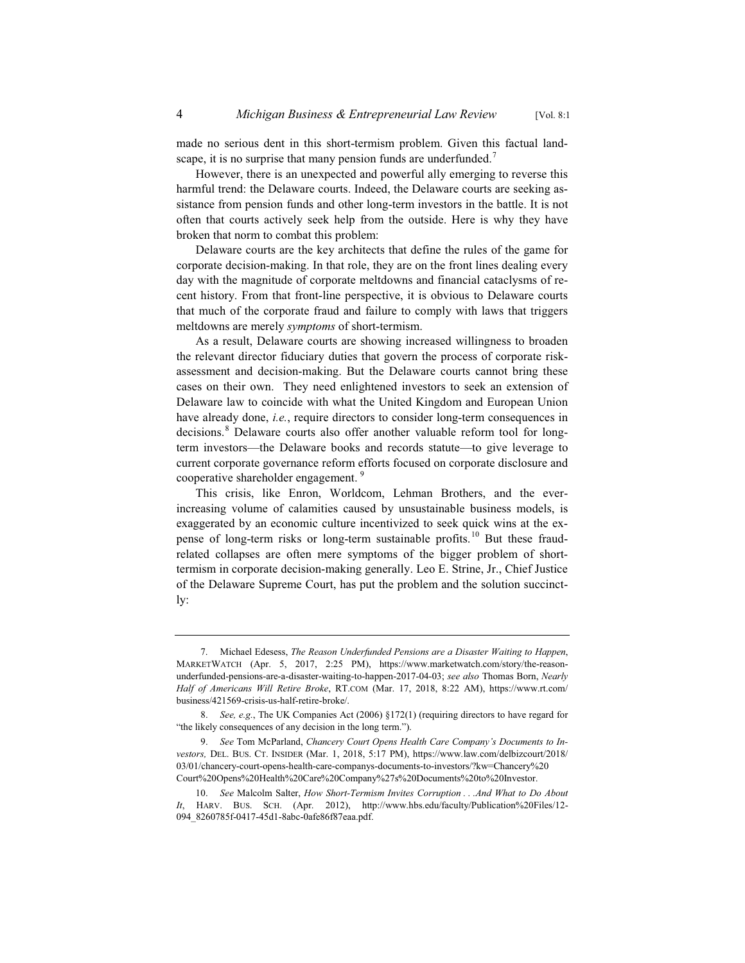made no serious dent in this short-termism problem. Given this factual landscape, it is no surprise that many pension funds are underfunded.<sup>7</sup>

However, there is an unexpected and powerful ally emerging to reverse this harmful trend: the Delaware courts. Indeed, the Delaware courts are seeking assistance from pension funds and other long-term investors in the battle. It is not often that courts actively seek help from the outside. Here is why they have broken that norm to combat this problem:

Delaware courts are the key architects that define the rules of the game for corporate decision-making. In that role, they are on the front lines dealing every day with the magnitude of corporate meltdowns and financial cataclysms of recent history. From that front-line perspective, it is obvious to Delaware courts that much of the corporate fraud and failure to comply with laws that triggers meltdowns are merely *symptoms* of short-termism.

As a result, Delaware courts are showing increased willingness to broaden the relevant director fiduciary duties that govern the process of corporate riskassessment and decision-making. But the Delaware courts cannot bring these cases on their own. They need enlightened investors to seek an extension of Delaware law to coincide with what the United Kingdom and European Union have already done, *i.e.*, require directors to consider long-term consequences in decisions.<sup>8</sup> Delaware courts also offer another valuable reform tool for longterm investors—the Delaware books and records statute—to give leverage to current corporate governance reform efforts focused on corporate disclosure and cooperative shareholder engagement.<sup>9</sup>

This crisis, like Enron, Worldcom, Lehman Brothers, and the everincreasing volume of calamities caused by unsustainable business models, is exaggerated by an economic culture incentivized to seek quick wins at the expense of long-term risks or long-term sustainable profits.<sup>10</sup> But these fraudrelated collapses are often mere symptoms of the bigger problem of shorttermism in corporate decision-making generally. Leo E. Strine, Jr., Chief Justice of the Delaware Supreme Court, has put the problem and the solution succinctly:

<sup>7.</sup> Michael Edesess, *The Reason Underfunded Pensions are a Disaster Waiting to Happen*, MARKETWATCH (Apr. 5, 2017, 2:25 PM), https://www.marketwatch.com/story/the-reasonunderfunded-pensions-are-a-disaster-waiting-to-happen-2017-04-03; *see also* Thomas Born, *Nearly Half of Americans Will Retire Broke*, RT.COM (Mar. 17, 2018, 8:22 AM), https://www.rt.com/ business/421569-crisis-us-half-retire-broke/.

<sup>8.</sup> *See, e.g.*, The UK Companies Act (2006) §172(1) (requiring directors to have regard for "the likely consequences of any decision in the long term.").

<sup>9.</sup> *See* Tom McParland, *Chancery Court Opens Health Care Company's Documents to In*vestors, DEL. BUS. CT. INSIDER (Mar. 1, 2018, 5:17 PM), https://www.law.com/delbizcourt/2018/ 03/01/chancery-court-opens-health-care-companys-documents-to-investors/?kw=Chancery%20 Court%20Opens%20Health%20Care%20Company%27s%20Documents%20to%20Investor.

<sup>10.</sup> *See* Malcolm Salter, *How Short-Termism Invites Corruption . . .And What to Do About It*, HARV. BUS. SCH. (Apr. 2012), http://www.hbs.edu/faculty/Publication%20Files/12- 094\_8260785f-0417-45d1-8abc-0afe86f87eaa.pdf.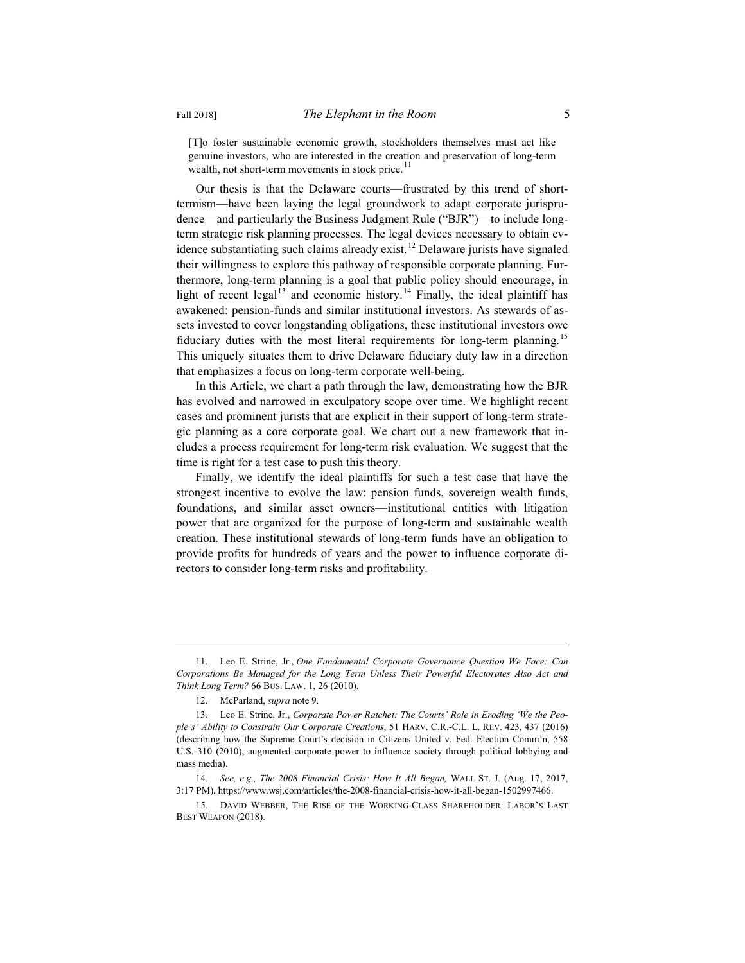[T]o foster sustainable economic growth, stockholders themselves must act like genuine investors, who are interested in the creation and preservation of long-term wealth, not short-term movements in stock price.<sup>11</sup>

Our thesis is that the Delaware courts—frustrated by this trend of shorttermism—have been laying the legal groundwork to adapt corporate jurisprudence—and particularly the Business Judgment Rule ("BJR")—to include longterm strategic risk planning processes. The legal devices necessary to obtain evidence substantiating such claims already exist.<sup>12</sup> Delaware jurists have signaled their willingness to explore this pathway of responsible corporate planning. Furthermore, long-term planning is a goal that public policy should encourage, in light of recent legal<sup>13</sup> and economic history.<sup>14</sup> Finally, the ideal plaintiff has awakened: pension-funds and similar institutional investors. As stewards of assets invested to cover longstanding obligations, these institutional investors owe fiduciary duties with the most literal requirements for long-term planning.<sup>15</sup> This uniquely situates them to drive Delaware fiduciary duty law in a direction that emphasizes a focus on long-term corporate well-being.

In this Article, we chart a path through the law, demonstrating how the BJR has evolved and narrowed in exculpatory scope over time. We highlight recent cases and prominent jurists that are explicit in their support of long-term strategic planning as a core corporate goal. We chart out a new framework that includes a process requirement for long-term risk evaluation. We suggest that the time is right for a test case to push this theory.

Finally, we identify the ideal plaintiffs for such a test case that have the strongest incentive to evolve the law: pension funds, sovereign wealth funds, foundations, and similar asset owners—institutional entities with litigation power that are organized for the purpose of long-term and sustainable wealth creation. These institutional stewards of long-term funds have an obligation to provide profits for hundreds of years and the power to influence corporate directors to consider long-term risks and profitability.

<sup>11.</sup> Leo E. Strine, Jr., *One Fundamental Corporate Governance Question We Face: Can Corporations Be Managed for the Long Term Unless Their Powerful Electorates Also Act and Think Long Term?* 66 BUS. LAW. 1, 26 (2010).

<sup>12.</sup> McParland, *supra* note 9.

<sup>13.</sup> Leo E. Strine, Jr., *Corporate Power Ratchet: The Courts' Role in Eroding 'We the People's' Ability to Constrain Our Corporate Creations*, 51 HARV. C.R.-C.L. L. REV. 423, 437 (2016) (describing how the Supreme Court's decision in Citizens United v. Fed. Election Comm'n, 558 U.S. 310 (2010), augmented corporate power to influence society through political lobbying and mass media).

<sup>14.</sup> *See, e.g., The 2008 Financial Crisis: How It All Began,* WALL ST. J. (Aug. 17, 2017, 3:17 PM), https://www.wsj.com/articles/the-2008-financial-crisis-how-it-all-began-1502997466.

<sup>15.</sup> DAVID WEBBER, THE RISE OF THE WORKING-CLASS SHAREHOLDER: LABOR'S LAST BEST WEAPON (2018).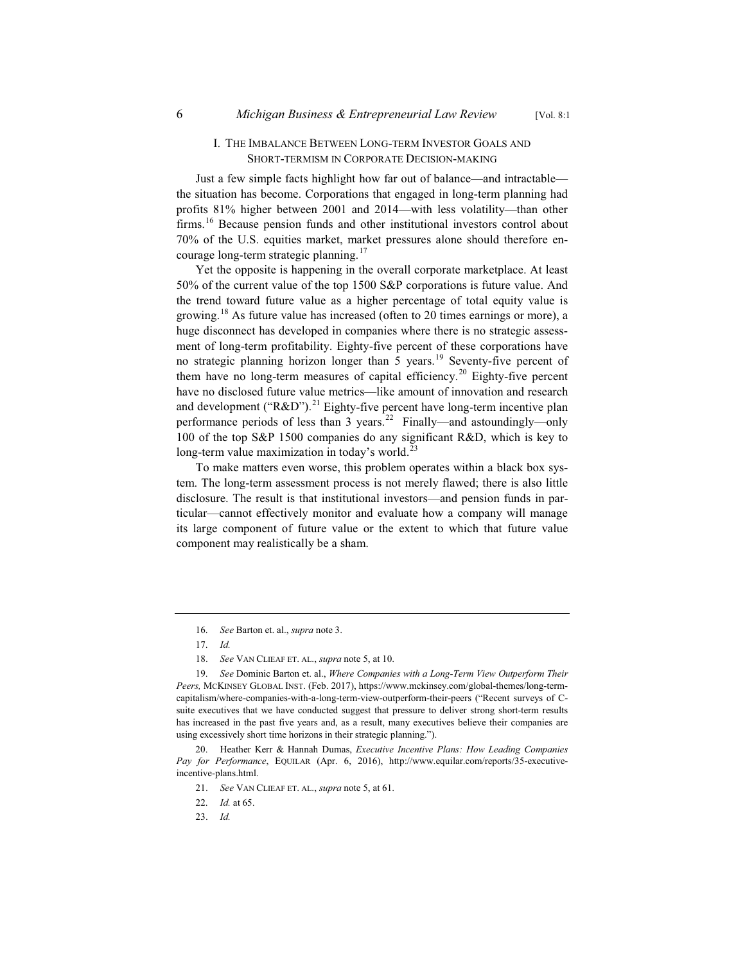#### I. THE IMBALANCE BETWEEN LONG-TERM INVESTOR GOALS AND SHORT-TERMISM IN CORPORATE DECISION-MAKING

Just a few simple facts highlight how far out of balance—and intractable the situation has become. Corporations that engaged in long-term planning had profits 81% higher between 2001 and 2014—with less volatility—than other firms.<sup>16</sup> Because pension funds and other institutional investors control about 70% of the U.S. equities market, market pressures alone should therefore encourage long-term strategic planning.<sup>17</sup>

Yet the opposite is happening in the overall corporate marketplace. At least 50% of the current value of the top 1500 S&P corporations is future value. And the trend toward future value as a higher percentage of total equity value is growing.<sup>18</sup> As future value has increased (often to 20 times earnings or more), a huge disconnect has developed in companies where there is no strategic assessment of long-term profitability. Eighty-five percent of these corporations have no strategic planning horizon longer than 5 years.<sup>19</sup> Seventy-five percent of them have no long-term measures of capital efficiency.<sup>20</sup> Eighty-five percent have no disclosed future value metrics—like amount of innovation and research and development ("R&D").<sup>21</sup> Eighty-five percent have long-term incentive plan performance periods of less than 3 years.<sup>22</sup> Finally—and astoundingly—only 100 of the top S&P 1500 companies do any significant R&D, which is key to long-term value maximization in today's world.<sup>23</sup>

To make matters even worse, this problem operates within a black box system. The long-term assessment process is not merely flawed; there is also little disclosure. The result is that institutional investors—and pension funds in particular—cannot effectively monitor and evaluate how a company will manage its large component of future value or the extent to which that future value component may realistically be a sham.

<sup>16.</sup> *See* Barton et. al., *supra* note 3.

<sup>17.</sup> *Id.*

<sup>18.</sup> *See* VAN CLIEAF ET. AL., *supra* note 5, at 10.

<sup>19.</sup> *See* Dominic Barton et. al., *Where Companies with a Long-Term View Outperform Their Peers,* MCKINSEY GLOBAL INST. (Feb. 2017), https://www.mckinsey.com/global-themes/long-termcapitalism/where-companies-with-a-long-term-view-outperform-their-peers ("Recent surveys of Csuite executives that we have conducted suggest that pressure to deliver strong short-term results has increased in the past five years and, as a result, many executives believe their companies are using excessively short time horizons in their strategic planning.").

<sup>20.</sup> Heather Kerr & Hannah Dumas, *Executive Incentive Plans: How Leading Companies Pay for Performance*, EQUILAR (Apr. 6, 2016), http://www.equilar.com/reports/35-executiveincentive-plans.html.

<sup>21.</sup> *See* VAN CLIEAF ET. AL., *supra* note 5, at 61.

<sup>22.</sup> *Id.* at 65.

<sup>23.</sup> *Id.*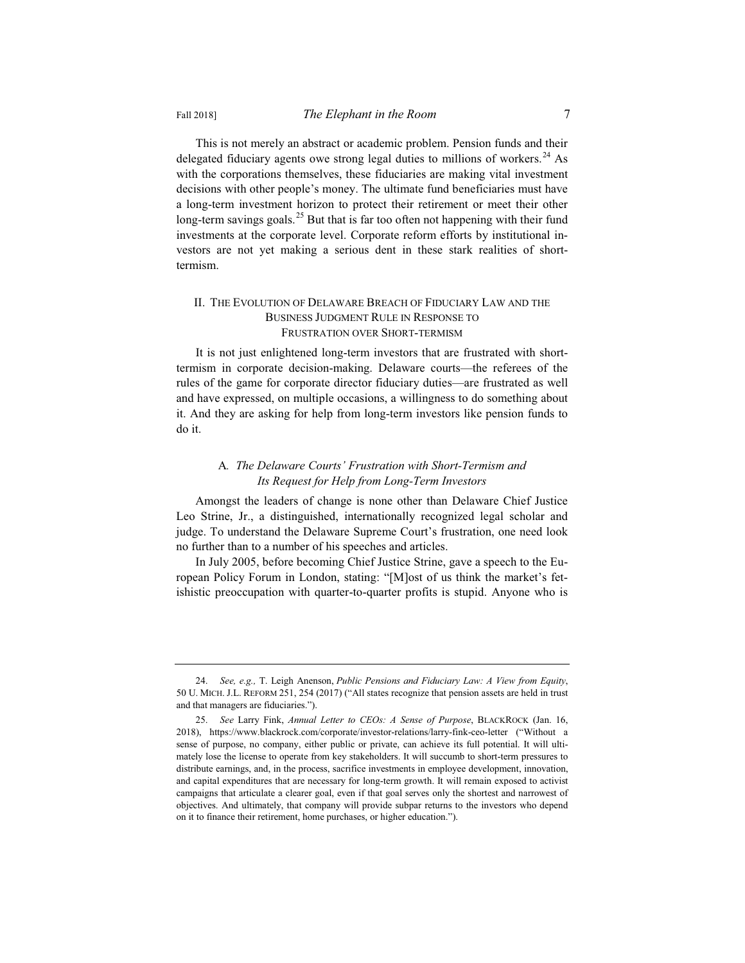This is not merely an abstract or academic problem. Pension funds and their delegated fiduciary agents owe strong legal duties to millions of workers.<sup>24</sup> As with the corporations themselves, these fiduciaries are making vital investment decisions with other people's money. The ultimate fund beneficiaries must have a long-term investment horizon to protect their retirement or meet their other long-term savings goals.<sup>25</sup> But that is far too often not happening with their fund investments at the corporate level. Corporate reform efforts by institutional investors are not yet making a serious dent in these stark realities of shorttermism.

#### II. THE EVOLUTION OF DELAWARE BREACH OF FIDUCIARY LAW AND THE BUSINESS JUDGMENT RULE IN RESPONSE TO FRUSTRATION OVER SHORT-TERMISM

It is not just enlightened long-term investors that are frustrated with shorttermism in corporate decision-making. Delaware courts—the referees of the rules of the game for corporate director fiduciary duties—are frustrated as well and have expressed, on multiple occasions, a willingness to do something about it. And they are asking for help from long-term investors like pension funds to do it.

#### A*. The Delaware Courts' Frustration with Short-Termism and Its Request for Help from Long-Term Investors*

Amongst the leaders of change is none other than Delaware Chief Justice Leo Strine, Jr., a distinguished, internationally recognized legal scholar and judge. To understand the Delaware Supreme Court's frustration, one need look no further than to a number of his speeches and articles.

In July 2005, before becoming Chief Justice Strine, gave a speech to the European Policy Forum in London, stating: "[M]ost of us think the market's fetishistic preoccupation with quarter-to-quarter profits is stupid. Anyone who is

<sup>24.</sup> *See, e.g.,* T. Leigh Anenson, *Public Pensions and Fiduciary Law: A View from Equity*, 50 U. MICH. J.L. REFORM 251, 254 (2017) ("All states recognize that pension assets are held in trust and that managers are fiduciaries.").

<sup>25.</sup> *See* Larry Fink, *Annual Letter to CEOs: A Sense of Purpose*, BLACKROCK (Jan. 16, 2018), https://www.blackrock.com/corporate/investor-relations/larry-fink-ceo-letter ("Without a sense of purpose, no company, either public or private, can achieve its full potential. It will ultimately lose the license to operate from key stakeholders. It will succumb to short-term pressures to distribute earnings, and, in the process, sacrifice investments in employee development, innovation, and capital expenditures that are necessary for long-term growth. It will remain exposed to activist campaigns that articulate a clearer goal, even if that goal serves only the shortest and narrowest of objectives. And ultimately, that company will provide subpar returns to the investors who depend on it to finance their retirement, home purchases, or higher education.").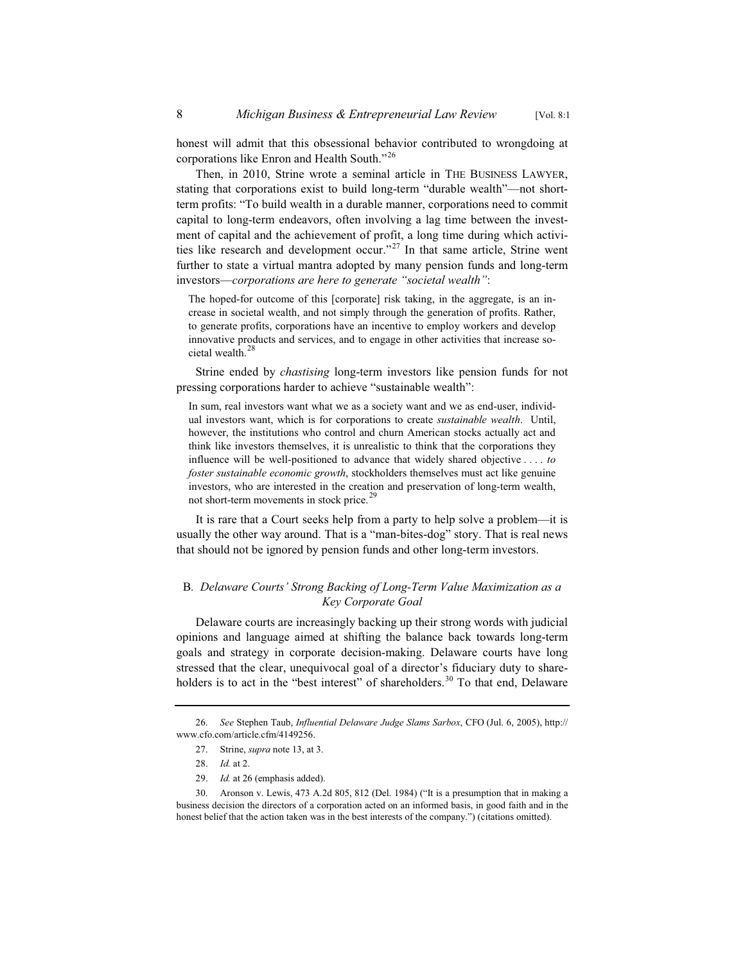honest will admit that this obsessional behavior contributed to wrongdoing at corporations like Enron and Health South."<sup>26</sup>

Then, in 2010, Strine wrote a seminal article in THE BUSINESS LAWYER, stating that corporations exist to build long-term "durable wealth"—not shortterm profits: "To build wealth in a durable manner, corporations need to commit capital to long-term endeavors, often involving a lag time between the investment of capital and the achievement of profit, a long time during which activities like research and development occur."<sup>27</sup> In that same article, Strine went further to state a virtual mantra adopted by many pension funds and long-term investors—*corporations are here to generate "societal wealth"*:

The hoped-for outcome of this [corporate] risk taking, in the aggregate, is an increase in societal wealth, and not simply through the generation of profits. Rather, to generate profits, corporations have an incentive to employ workers and develop innovative products and services, and to engage in other activities that increase societal wealth.<sup>28</sup>

Strine ended by *chastising* long-term investors like pension funds for not pressing corporations harder to achieve "sustainable wealth":

In sum, real investors want what we as a society want and we as end-user, individual investors want, which is for corporations to create *sustainable wealth*. Until, however, the institutions who control and churn American stocks actually act and think like investors themselves, it is unrealistic to think that the corporations they influence will be well-positioned to advance that widely shared objective . . . . *to foster sustainable economic growth*, stockholders themselves must act like genuine investors, who are interested in the creation and preservation of long-term wealth, not short-term movements in stock price.<sup>29</sup>

It is rare that a Court seeks help from a party to help solve a problem—it is usually the other way around. That is a "man-bites-dog" story. That is real news that should not be ignored by pension funds and other long-term investors.

#### B*. Delaware Courts' Strong Backing of Long-Term Value Maximization as a Key Corporate Goal*

Delaware courts are increasingly backing up their strong words with judicial opinions and language aimed at shifting the balance back towards long-term goals and strategy in corporate decision-making. Delaware courts have long stressed that the clear, unequivocal goal of a director's fiduciary duty to shareholders is to act in the "best interest" of shareholders.<sup>30</sup> To that end, Delaware

29. *Id.* at 26 (emphasis added).

<sup>26.</sup> *See* Stephen Taub, *Influential Delaware Judge Slams Sarbox*, CFO (Jul. 6, 2005), http:// www.cfo.com/article.cfm/4149256.

<sup>27.</sup> Strine, *supra* note 13, at 3.

<sup>28.</sup> *Id.* at 2.

<sup>30.</sup> Aronson v. Lewis, 473 A.2d 805, 812 (Del. 1984) ("It is a presumption that in making a business decision the directors of a corporation acted on an informed basis, in good faith and in the honest belief that the action taken was in the best interests of the company.") (citations omitted).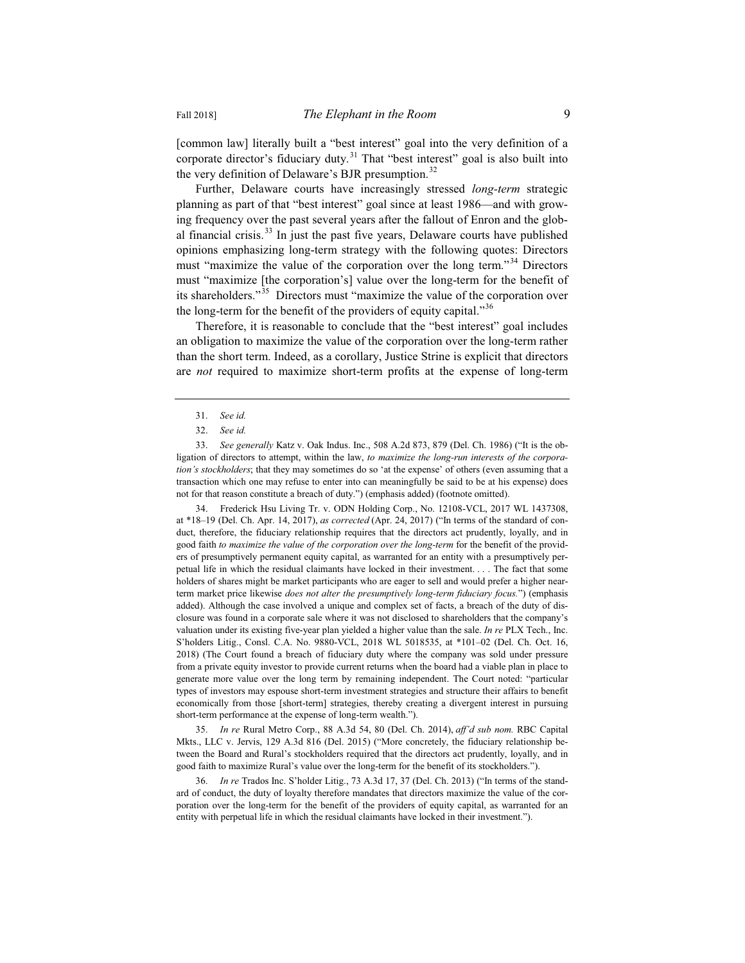[common law] literally built a "best interest" goal into the very definition of a corporate director's fiduciary duty.<sup>31</sup> That "best interest" goal is also built into the very definition of Delaware's BJR presumption.<sup>32</sup>

Further, Delaware courts have increasingly stressed *long-term* strategic planning as part of that "best interest" goal since at least 1986—and with growing frequency over the past several years after the fallout of Enron and the global financial crisis. $33 \text{ In}$  just the past five years, Delaware courts have published opinions emphasizing long-term strategy with the following quotes: Directors must "maximize the value of the corporation over the long term."<sup>34</sup> Directors must "maximize [the corporation's] value over the long-term for the benefit of its shareholders."<sup>35</sup> Directors must "maximize the value of the corporation over the long-term for the benefit of the providers of equity capital."<sup>36</sup>

Therefore, it is reasonable to conclude that the "best interest" goal includes an obligation to maximize the value of the corporation over the long-term rather than the short term. Indeed, as a corollary, Justice Strine is explicit that directors are *not* required to maximize short-term profits at the expense of long-term

34. Frederick Hsu Living Tr. v. ODN Holding Corp., No. 12108-VCL, 2017 WL 1437308, at \*18–19 (Del. Ch. Apr. 14, 2017), *as corrected* (Apr. 24, 2017) ("In terms of the standard of conduct, therefore, the fiduciary relationship requires that the directors act prudently, loyally, and in good faith *to maximize the value of the corporation over the long-term* for the benefit of the providers of presumptively permanent equity capital, as warranted for an entity with a presumptively perpetual life in which the residual claimants have locked in their investment. . . . The fact that some holders of shares might be market participants who are eager to sell and would prefer a higher nearterm market price likewise *does not alter the presumptively long-term fiduciary focus.*") (emphasis added). Although the case involved a unique and complex set of facts, a breach of the duty of disclosure was found in a corporate sale where it was not disclosed to shareholders that the company's valuation under its existing five-year plan yielded a higher value than the sale. *In re* PLX Tech., Inc. S'holders Litig., Consl. C.A. No. 9880-VCL, 2018 WL 5018535, at \*101–02 (Del. Ch. Oct. 16, 2018) (The Court found a breach of fiduciary duty where the company was sold under pressure from a private equity investor to provide current returns when the board had a viable plan in place to generate more value over the long term by remaining independent. The Court noted: "particular types of investors may espouse short-term investment strategies and structure their affairs to benefit economically from those [short-term] strategies, thereby creating a divergent interest in pursuing short-term performance at the expense of long-term wealth.").

35. *In re* Rural Metro Corp., 88 A.3d 54, 80 (Del. Ch. 2014), *aff'd sub nom.* RBC Capital Mkts., LLC v. Jervis, 129 A.3d 816 (Del. 2015) ("More concretely, the fiduciary relationship between the Board and Rural's stockholders required that the directors act prudently, loyally, and in good faith to maximize Rural's value over the long-term for the benefit of its stockholders.").

36. *In re* Trados Inc. S'holder Litig., 73 A.3d 17, 37 (Del. Ch. 2013) ("In terms of the standard of conduct, the duty of loyalty therefore mandates that directors maximize the value of the corporation over the long-term for the benefit of the providers of equity capital, as warranted for an entity with perpetual life in which the residual claimants have locked in their investment.").

<sup>31.</sup> *See id.*

<sup>32.</sup> *See id.*

<sup>33.</sup> *See generally* Katz v. Oak Indus. Inc., 508 A.2d 873, 879 (Del. Ch. 1986) ("It is the obligation of directors to attempt, within the law, *to maximize the long-run interests of the corporation's stockholders*; that they may sometimes do so 'at the expense' of others (even assuming that a transaction which one may refuse to enter into can meaningfully be said to be at his expense) does not for that reason constitute a breach of duty.") (emphasis added) (footnote omitted).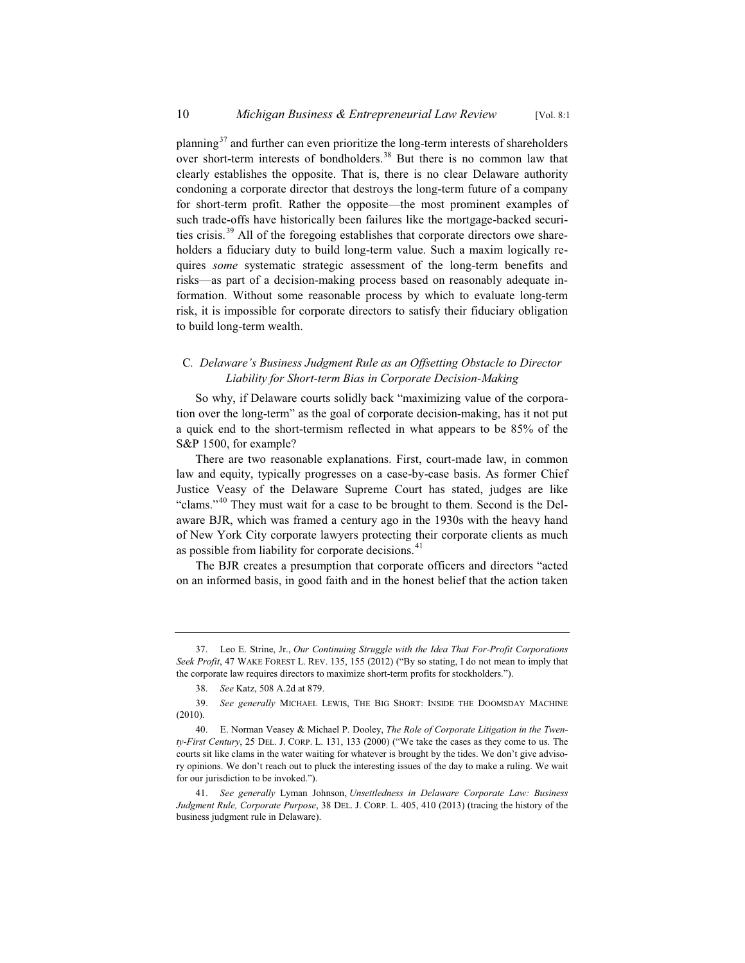planning $37$  and further can even prioritize the long-term interests of shareholders over short-term interests of bondholders.<sup>38</sup> But there is no common law that clearly establishes the opposite. That is, there is no clear Delaware authority condoning a corporate director that destroys the long-term future of a company for short-term profit. Rather the opposite—the most prominent examples of such trade-offs have historically been failures like the mortgage-backed securities crisis.<sup>39</sup> All of the foregoing establishes that corporate directors owe shareholders a fiduciary duty to build long-term value. Such a maxim logically requires *some* systematic strategic assessment of the long-term benefits and risks—as part of a decision-making process based on reasonably adequate information. Without some reasonable process by which to evaluate long-term risk, it is impossible for corporate directors to satisfy their fiduciary obligation to build long-term wealth.

#### C*. Delaware's Business Judgment Rule as an Offsetting Obstacle to Director Liability for Short-term Bias in Corporate Decision-Making*

So why, if Delaware courts solidly back "maximizing value of the corporation over the long-term" as the goal of corporate decision-making, has it not put a quick end to the short-termism reflected in what appears to be 85% of the S&P 1500, for example?

There are two reasonable explanations. First, court-made law, in common law and equity, typically progresses on a case-by-case basis. As former Chief Justice Veasy of the Delaware Supreme Court has stated, judges are like "clams."<sup>40</sup> They must wait for a case to be brought to them. Second is the Delaware BJR, which was framed a century ago in the 1930s with the heavy hand of New York City corporate lawyers protecting their corporate clients as much as possible from liability for corporate decisions.<sup>41</sup>

The BJR creates a presumption that corporate officers and directors "acted on an informed basis, in good faith and in the honest belief that the action taken

<sup>37.</sup> Leo E. Strine, Jr., *Our Continuing Struggle with the Idea That For-Profit Corporations Seek Profit*, 47 WAKE FOREST L. REV. 135, 155 (2012) ("By so stating, I do not mean to imply that the corporate law requires directors to maximize short-term profits for stockholders.").

<sup>38.</sup> *See* Katz, 508 A.2d at 879.

<sup>39.</sup> *See generally* MICHAEL LEWIS, THE BIG SHORT: INSIDE THE DOOMSDAY MACHINE (2010).

<sup>40.</sup> E. Norman Veasey & Michael P. Dooley, *The Role of Corporate Litigation in the Twenty-First Century*, 25 DEL. J. CORP. L. 131, 133 (2000) ("We take the cases as they come to us. The courts sit like clams in the water waiting for whatever is brought by the tides. We don't give advisory opinions. We don't reach out to pluck the interesting issues of the day to make a ruling. We wait for our jurisdiction to be invoked.").

<sup>41.</sup> *See generally* Lyman Johnson, *Unsettledness in Delaware Corporate Law: Business Judgment Rule, Corporate Purpose*, 38 DEL. J. CORP. L. 405, 410 (2013) (tracing the history of the business judgment rule in Delaware).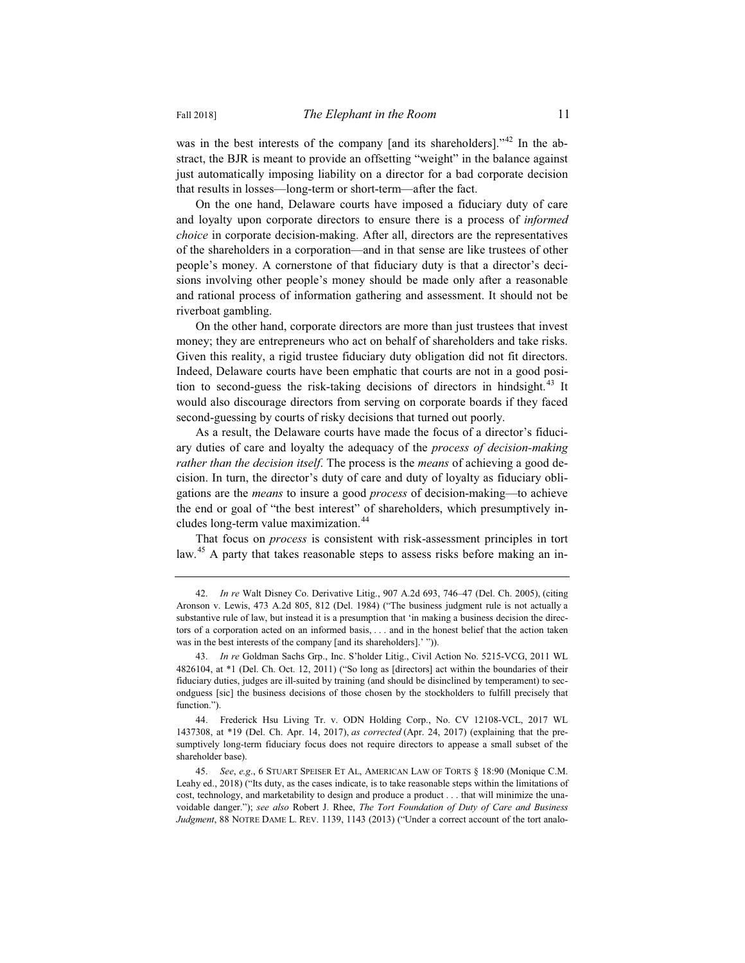was in the best interests of the company [and its shareholders]."<sup>42</sup> In the abstract, the BJR is meant to provide an offsetting "weight" in the balance against just automatically imposing liability on a director for a bad corporate decision that results in losses—long-term or short-term—after the fact.

On the one hand, Delaware courts have imposed a fiduciary duty of care and loyalty upon corporate directors to ensure there is a process of *informed choice* in corporate decision-making. After all, directors are the representatives of the shareholders in a corporation—and in that sense are like trustees of other people's money. A cornerstone of that fiduciary duty is that a director's decisions involving other people's money should be made only after a reasonable and rational process of information gathering and assessment. It should not be riverboat gambling.

On the other hand, corporate directors are more than just trustees that invest money; they are entrepreneurs who act on behalf of shareholders and take risks. Given this reality, a rigid trustee fiduciary duty obligation did not fit directors. Indeed, Delaware courts have been emphatic that courts are not in a good position to second-guess the risk-taking decisions of directors in hindsight.<sup>43</sup> It would also discourage directors from serving on corporate boards if they faced second-guessing by courts of risky decisions that turned out poorly.

As a result, the Delaware courts have made the focus of a director's fiduciary duties of care and loyalty the adequacy of the *process of decision-making rather than the decision itself*. The process is the *means* of achieving a good decision. In turn, the director's duty of care and duty of loyalty as fiduciary obligations are the *means* to insure a good *process* of decision-making—to achieve the end or goal of "the best interest" of shareholders, which presumptively includes long-term value maximization.<sup>44</sup>

That focus on *process* is consistent with risk-assessment principles in tort law.<sup>45</sup> A party that takes reasonable steps to assess risks before making an in-

<sup>42.</sup> *In re* Walt Disney Co. Derivative Litig., 907 A.2d 693, 746–47 (Del. Ch. 2005), (citing Aronson v. Lewis, 473 A.2d 805, 812 (Del. 1984) ("The business judgment rule is not actually a substantive rule of law, but instead it is a presumption that 'in making a business decision the directors of a corporation acted on an informed basis, . . . and in the honest belief that the action taken was in the best interests of the company [and its shareholders].' ")).

<sup>43.</sup> *In re* Goldman Sachs Grp., Inc. S'holder Litig., Civil Action No. 5215-VCG, 2011 WL 4826104, at \*1 (Del. Ch. Oct. 12, 2011) ("So long as [directors] act within the boundaries of their fiduciary duties, judges are ill-suited by training (and should be disinclined by temperament) to secondguess [sic] the business decisions of those chosen by the stockholders to fulfill precisely that function.").

<sup>44.</sup> Frederick Hsu Living Tr. v. ODN Holding Corp., No. CV 12108-VCL, 2017 WL 1437308, at \*19 (Del. Ch. Apr. 14, 2017), *as corrected* (Apr. 24, 2017) (explaining that the presumptively long-term fiduciary focus does not require directors to appease a small subset of the shareholder base).

<sup>45.</sup> *See*, *e.g*., 6 STUART SPEISER ET AL, AMERICAN LAW OF TORTS § 18:90 (Monique C.M. Leahy ed., 2018) ("Its duty, as the cases indicate, is to take reasonable steps within the limitations of cost, technology, and marketability to design and produce a product . . . that will minimize the unavoidable danger."); *see also* Robert J. Rhee, *The Tort Foundation of Duty of Care and Business Judgment*, 88 NOTRE DAME L. REV. 1139, 1143 (2013) ("Under a correct account of the tort analo-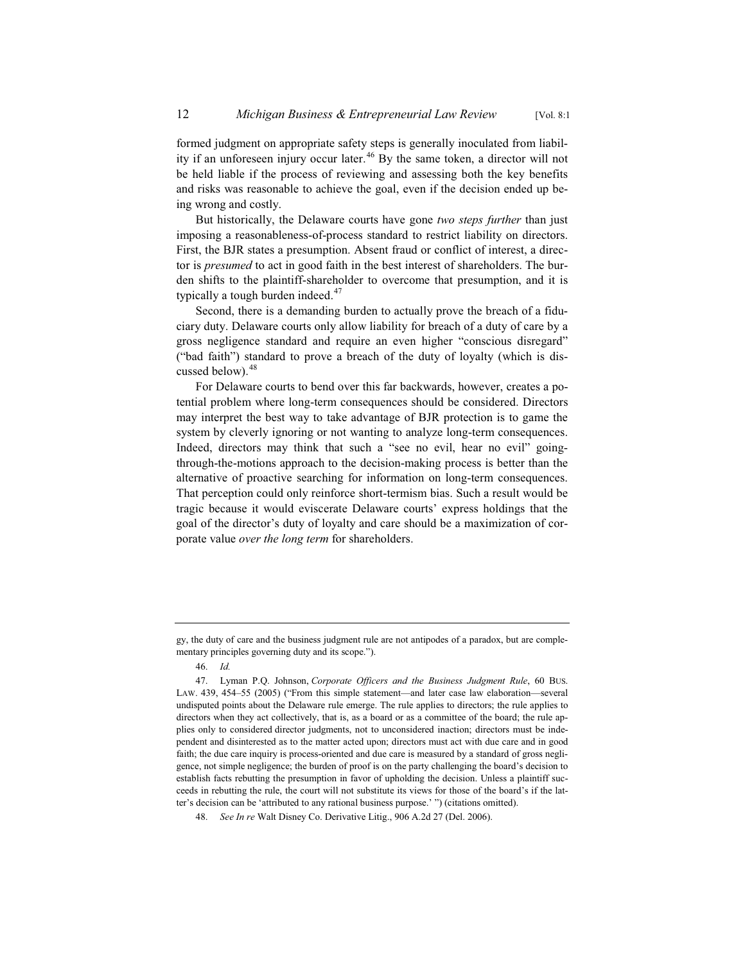formed judgment on appropriate safety steps is generally inoculated from liability if an unforeseen injury occur later.<sup>46</sup> By the same token, a director will not be held liable if the process of reviewing and assessing both the key benefits and risks was reasonable to achieve the goal, even if the decision ended up being wrong and costly.

But historically, the Delaware courts have gone *two steps further* than just imposing a reasonableness-of-process standard to restrict liability on directors. First, the BJR states a presumption. Absent fraud or conflict of interest, a director is *presumed* to act in good faith in the best interest of shareholders. The burden shifts to the plaintiff-shareholder to overcome that presumption, and it is typically a tough burden indeed. $47$ 

Second, there is a demanding burden to actually prove the breach of a fiduciary duty. Delaware courts only allow liability for breach of a duty of care by a gross negligence standard and require an even higher "conscious disregard" ("bad faith") standard to prove a breach of the duty of loyalty (which is discussed below).<sup>48</sup>

For Delaware courts to bend over this far backwards, however, creates a potential problem where long-term consequences should be considered. Directors may interpret the best way to take advantage of BJR protection is to game the system by cleverly ignoring or not wanting to analyze long-term consequences. Indeed, directors may think that such a "see no evil, hear no evil" goingthrough-the-motions approach to the decision-making process is better than the alternative of proactive searching for information on long-term consequences. That perception could only reinforce short-termism bias. Such a result would be tragic because it would eviscerate Delaware courts' express holdings that the goal of the director's duty of loyalty and care should be a maximization of corporate value *over the long term* for shareholders.

gy, the duty of care and the business judgment rule are not antipodes of a paradox, but are complementary principles governing duty and its scope.").

<sup>46.</sup> *Id.*

<sup>47.</sup> Lyman P.Q. Johnson, *Corporate Officers and the Business Judgment Rule*, 60 BUS. LAW. 439, 454–55 (2005) ("From this simple statement—and later case law elaboration—several undisputed points about the Delaware rule emerge. The rule applies to directors; the rule applies to directors when they act collectively, that is, as a board or as a committee of the board; the rule applies only to considered director judgments, not to unconsidered inaction; directors must be independent and disinterested as to the matter acted upon; directors must act with due care and in good faith; the due care inquiry is process-oriented and due care is measured by a standard of gross negligence, not simple negligence; the burden of proof is on the party challenging the board's decision to establish facts rebutting the presumption in favor of upholding the decision. Unless a plaintiff succeeds in rebutting the rule, the court will not substitute its views for those of the board's if the latter's decision can be 'attributed to any rational business purpose.' ") (citations omitted).

<sup>48.</sup> *See In re* Walt Disney Co. Derivative Litig., 906 A.2d 27 (Del. 2006).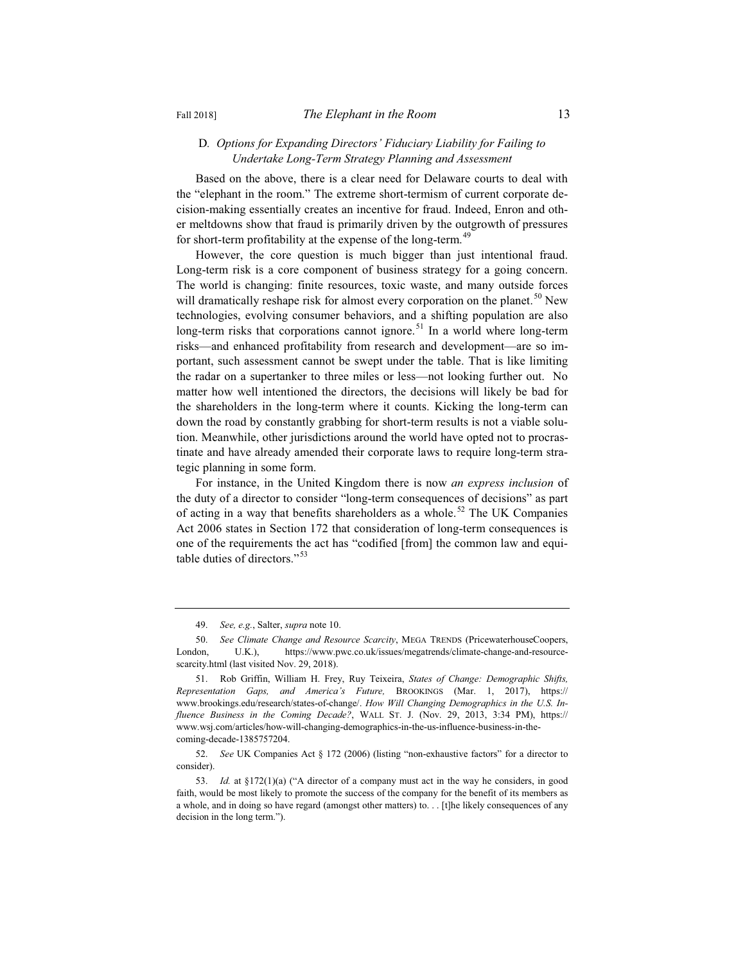#### D*. Options for Expanding Directors' Fiduciary Liability for Failing to Undertake Long-Term Strategy Planning and Assessment*

Based on the above, there is a clear need for Delaware courts to deal with the "elephant in the room." The extreme short-termism of current corporate decision-making essentially creates an incentive for fraud. Indeed, Enron and other meltdowns show that fraud is primarily driven by the outgrowth of pressures for short-term profitability at the expense of the long-term.<sup>49</sup>

However, the core question is much bigger than just intentional fraud. Long-term risk is a core component of business strategy for a going concern. The world is changing: finite resources, toxic waste, and many outside forces will dramatically reshape risk for almost every corporation on the planet.<sup>50</sup> New technologies, evolving consumer behaviors, and a shifting population are also long-term risks that corporations cannot ignore.<sup>51</sup> In a world where long-term risks—and enhanced profitability from research and development—are so important, such assessment cannot be swept under the table. That is like limiting the radar on a supertanker to three miles or less—not looking further out. No matter how well intentioned the directors, the decisions will likely be bad for the shareholders in the long-term where it counts. Kicking the long-term can down the road by constantly grabbing for short-term results is not a viable solution. Meanwhile, other jurisdictions around the world have opted not to procrastinate and have already amended their corporate laws to require long-term strategic planning in some form.

For instance, in the United Kingdom there is now *an express inclusion* of the duty of a director to consider "long-term consequences of decisions" as part of acting in a way that benefits shareholders as a whole.<sup>52</sup> The UK Companies Act 2006 states in Section 172 that consideration of long-term consequences is one of the requirements the act has "codified [from] the common law and equitable duties of directors."<sup>53</sup>

<sup>49.</sup> *See, e.g.*, Salter, *supra* note 10.

<sup>50.</sup> *See Climate Change and Resource Scarcity*, MEGA TRENDS (PricewaterhouseCoopers, London, U.K.), https://www.pwc.co.uk/issues/megatrends/climate-change-and-resourcescarcity.html (last visited Nov. 29, 2018).

<sup>51.</sup> Rob Griffin, William H. Frey, Ruy Teixeira, *States of Change: Demographic Shifts, Representation Gaps, and America's Future,* BROOKINGS (Mar. 1, 2017), https:// www.brookings.edu/research/states-of-change/. *How Will Changing Demographics in the U.S. Influence Business in the Coming Decade?*, WALL ST. J. (Nov. 29, 2013, 3:34 PM), https:// www.wsj.com/articles/how-will-changing-demographics-in-the-us-influence-business-in-thecoming-decade-1385757204.

<sup>52.</sup> *See* UK Companies Act § 172 (2006) (listing "non-exhaustive factors" for a director to consider).

<sup>53.</sup> *Id.* at §172(1)(a) ("A director of a company must act in the way he considers, in good faith, would be most likely to promote the success of the company for the benefit of its members as a whole, and in doing so have regard (amongst other matters) to. . . [t]he likely consequences of any decision in the long term.").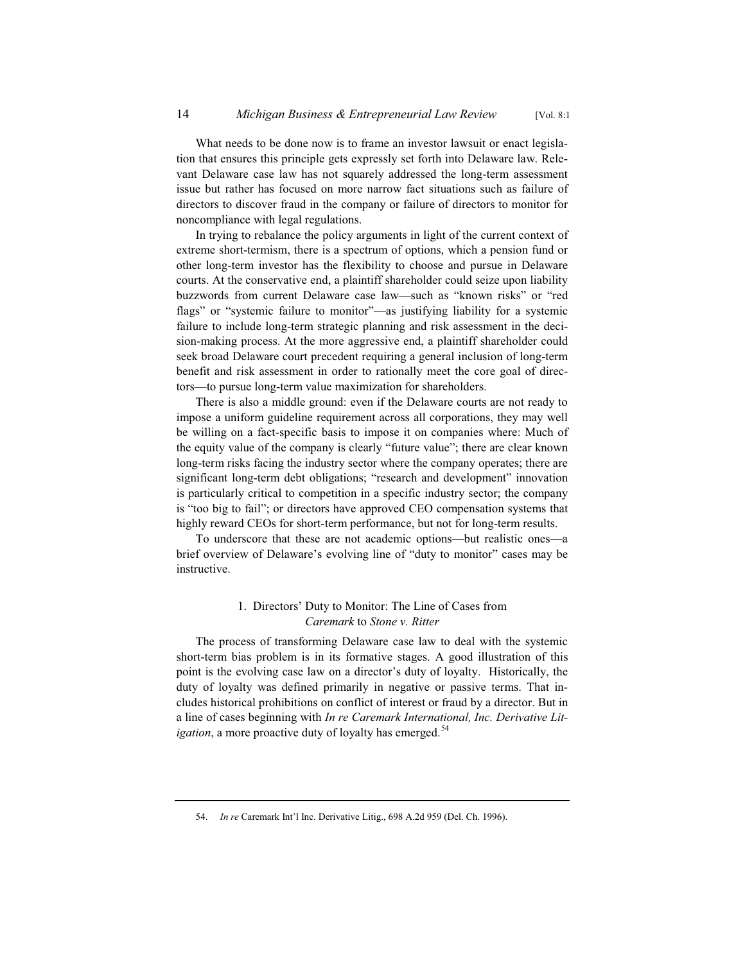What needs to be done now is to frame an investor lawsuit or enact legislation that ensures this principle gets expressly set forth into Delaware law. Relevant Delaware case law has not squarely addressed the long-term assessment issue but rather has focused on more narrow fact situations such as failure of directors to discover fraud in the company or failure of directors to monitor for noncompliance with legal regulations.

In trying to rebalance the policy arguments in light of the current context of extreme short-termism, there is a spectrum of options, which a pension fund or other long-term investor has the flexibility to choose and pursue in Delaware courts. At the conservative end, a plaintiff shareholder could seize upon liability buzzwords from current Delaware case law—such as "known risks" or "red flags" or "systemic failure to monitor"—as justifying liability for a systemic failure to include long-term strategic planning and risk assessment in the decision-making process. At the more aggressive end, a plaintiff shareholder could seek broad Delaware court precedent requiring a general inclusion of long-term benefit and risk assessment in order to rationally meet the core goal of directors—to pursue long-term value maximization for shareholders.

There is also a middle ground: even if the Delaware courts are not ready to impose a uniform guideline requirement across all corporations, they may well be willing on a fact-specific basis to impose it on companies where: Much of the equity value of the company is clearly "future value"; there are clear known long-term risks facing the industry sector where the company operates; there are significant long-term debt obligations; "research and development" innovation is particularly critical to competition in a specific industry sector; the company is "too big to fail"; or directors have approved CEO compensation systems that highly reward CEOs for short-term performance, but not for long-term results.

To underscore that these are not academic options—but realistic ones—a brief overview of Delaware's evolving line of "duty to monitor" cases may be instructive.

#### 1. Directors' Duty to Monitor: The Line of Cases from *Caremark* to *Stone v. Ritter*

The process of transforming Delaware case law to deal with the systemic short-term bias problem is in its formative stages. A good illustration of this point is the evolving case law on a director's duty of loyalty. Historically, the duty of loyalty was defined primarily in negative or passive terms. That includes historical prohibitions on conflict of interest or fraud by a director. But in a line of cases beginning with *In re Caremark International, Inc. Derivative Litigation*, a more proactive duty of loyalty has emerged.<sup>54</sup>

<sup>54.</sup> *In re* Caremark Int'l Inc. Derivative Litig., 698 A.2d 959 (Del. Ch. 1996).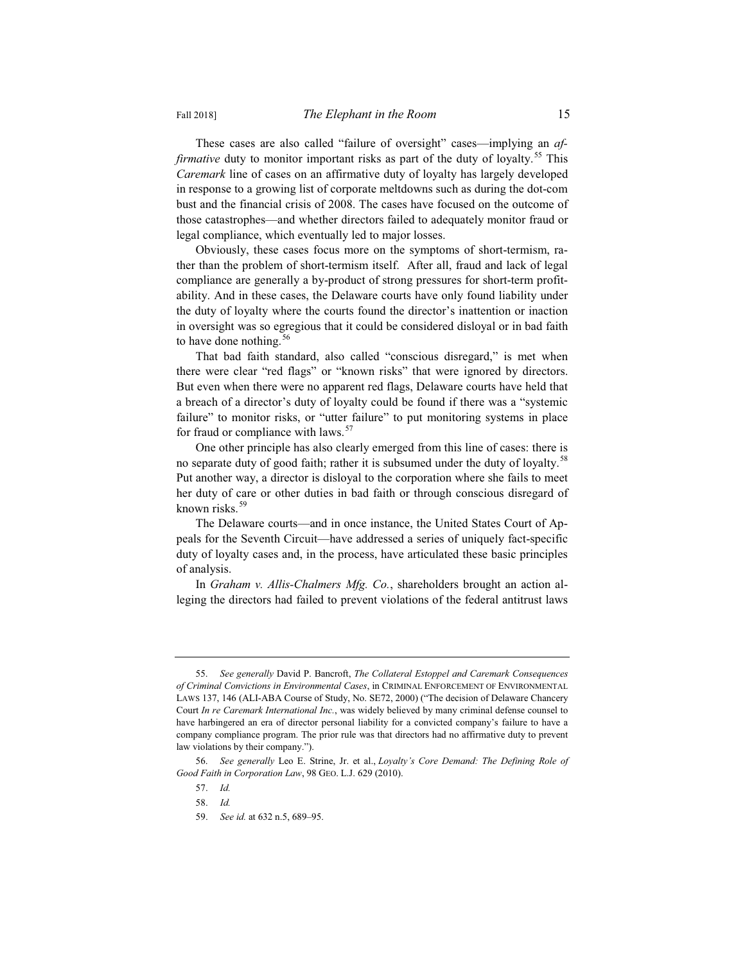These cases are also called "failure of oversight" cases—implying an *affirmative* duty to monitor important risks as part of the duty of loyalty.<sup>55</sup> This *Caremark* line of cases on an affirmative duty of loyalty has largely developed in response to a growing list of corporate meltdowns such as during the dot-com bust and the financial crisis of 2008. The cases have focused on the outcome of those catastrophes—and whether directors failed to adequately monitor fraud or legal compliance, which eventually led to major losses.

Obviously, these cases focus more on the symptoms of short-termism, rather than the problem of short-termism itself. After all, fraud and lack of legal compliance are generally a by-product of strong pressures for short-term profitability. And in these cases, the Delaware courts have only found liability under the duty of loyalty where the courts found the director's inattention or inaction in oversight was so egregious that it could be considered disloyal or in bad faith to have done nothing.  $56$ 

That bad faith standard, also called "conscious disregard," is met when there were clear "red flags" or "known risks" that were ignored by directors. But even when there were no apparent red flags, Delaware courts have held that a breach of a director's duty of loyalty could be found if there was a "systemic failure" to monitor risks, or "utter failure" to put monitoring systems in place for fraud or compliance with laws.<sup>57</sup>

One other principle has also clearly emerged from this line of cases: there is no separate duty of good faith; rather it is subsumed under the duty of loyalty.<sup>58</sup> Put another way, a director is disloyal to the corporation where she fails to meet her duty of care or other duties in bad faith or through conscious disregard of known risks.<sup>59</sup>

The Delaware courts—and in once instance, the United States Court of Appeals for the Seventh Circuit—have addressed a series of uniquely fact-specific duty of loyalty cases and, in the process, have articulated these basic principles of analysis.

In *Graham v. Allis-Chalmers Mfg. Co.*, shareholders brought an action alleging the directors had failed to prevent violations of the federal antitrust laws

<sup>55.</sup> *See generally* David P. Bancroft, *The Collateral Estoppel and Caremark Consequences of Criminal Convictions in Environmental Cases*, in CRIMINAL ENFORCEMENT OF ENVIRONMENTAL LAWS 137, 146 (ALI-ABA Course of Study, No. SE72, 2000) ("The decision of Delaware Chancery Court *In re Caremark International Inc.*, was widely believed by many criminal defense counsel to have harbingered an era of director personal liability for a convicted company's failure to have a company compliance program. The prior rule was that directors had no affirmative duty to prevent law violations by their company.").

<sup>56.</sup> *See generally* Leo E. Strine, Jr. et al., *Loyalty's Core Demand: The Defining Role of Good Faith in Corporation Law*, 98 GEO. L.J. 629 (2010).

<sup>57.</sup> *Id.*

<sup>58.</sup> *Id.*

<sup>59.</sup> *See id.* at 632 n.5, 689–95.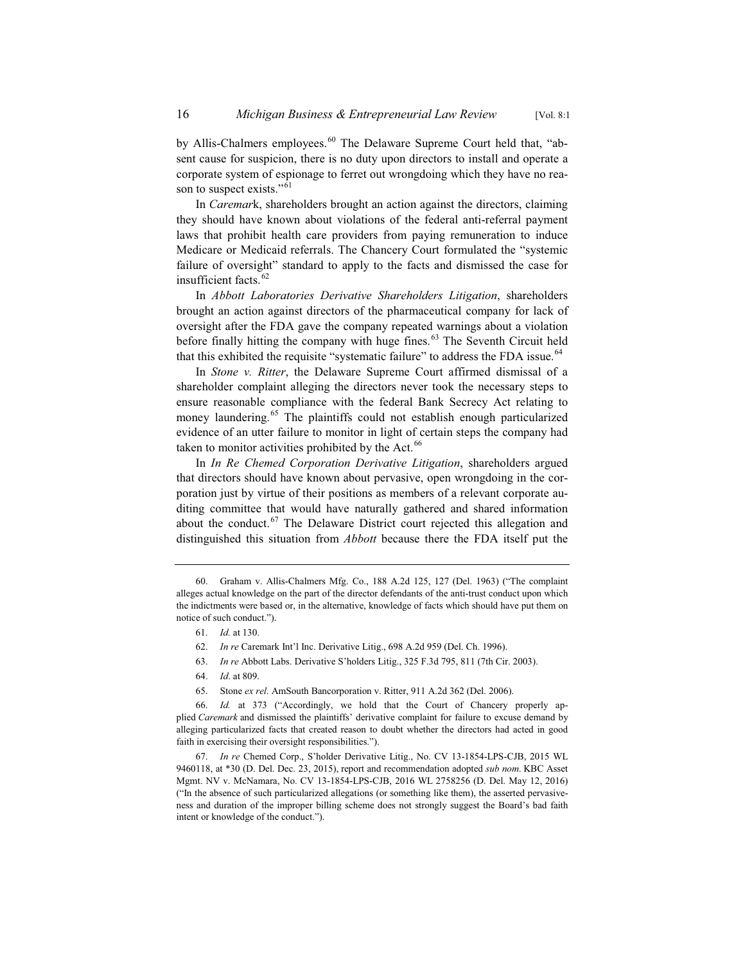by Allis-Chalmers employees.<sup>60</sup> The Delaware Supreme Court held that, "absent cause for suspicion, there is no duty upon directors to install and operate a corporate system of espionage to ferret out wrongdoing which they have no reason to suspect exists."<sup>61</sup>

In *Caremar*k, shareholders brought an action against the directors, claiming they should have known about violations of the federal anti-referral payment laws that prohibit health care providers from paying remuneration to induce Medicare or Medicaid referrals. The Chancery Court formulated the "systemic failure of oversight" standard to apply to the facts and dismissed the case for insufficient facts.<sup>62</sup>

In *Abbott Laboratories Derivative Shareholders Litigation*, shareholders brought an action against directors of the pharmaceutical company for lack of oversight after the FDA gave the company repeated warnings about a violation before finally hitting the company with huge fines.<sup>63</sup> The Seventh Circuit held that this exhibited the requisite "systematic failure" to address the FDA issue.<sup>64</sup>

In *Stone v. Ritter*, the Delaware Supreme Court affirmed dismissal of a shareholder complaint alleging the directors never took the necessary steps to ensure reasonable compliance with the federal Bank Secrecy Act relating to money laundering.<sup>65</sup> The plaintiffs could not establish enough particularized evidence of an utter failure to monitor in light of certain steps the company had taken to monitor activities prohibited by the Act.<sup>66</sup>

In *In Re Chemed Corporation Derivative Litigation*, shareholders argued that directors should have known about pervasive, open wrongdoing in the corporation just by virtue of their positions as members of a relevant corporate auditing committee that would have naturally gathered and shared information about the conduct. $67$  The Delaware District court rejected this allegation and distinguished this situation from *Abbott* because there the FDA itself put the

- 61. *Id.* at 130.
- 62. *In re* Caremark Int'l Inc. Derivative Litig., 698 A.2d 959 (Del. Ch. 1996).
- 63. *In re* Abbott Labs. Derivative S'holders Litig., 325 F.3d 795, 811 (7th Cir. 2003).
- 64. *Id*. at 809.
- 65. Stone *ex rel.* AmSouth Bancorporation v. Ritter, 911 A.2d 362 (Del. 2006).

<sup>60.</sup> Graham v. Allis-Chalmers Mfg. Co., 188 A.2d 125, 127 (Del. 1963) ("The complaint alleges actual knowledge on the part of the director defendants of the anti-trust conduct upon which the indictments were based or, in the alternative, knowledge of facts which should have put them on notice of such conduct.").

<sup>66.</sup> *Id.* at 373 ("Accordingly, we hold that the Court of Chancery properly applied *Caremark* and dismissed the plaintiffs' derivative complaint for failure to excuse demand by alleging particularized facts that created reason to doubt whether the directors had acted in good faith in exercising their oversight responsibilities.").

<sup>67.</sup> *In re* Chemed Corp., S'holder Derivative Litig., No. CV 13-1854-LPS-CJB, 2015 WL 9460118, at \*30 (D. Del. Dec. 23, 2015), report and recommendation adopted *sub nom*. KBC Asset Mgmt. NV v. McNamara, No. CV 13-1854-LPS-CJB, 2016 WL 2758256 (D. Del. May 12, 2016) ("In the absence of such particularized allegations (or something like them), the asserted pervasiveness and duration of the improper billing scheme does not strongly suggest the Board's bad faith intent or knowledge of the conduct.").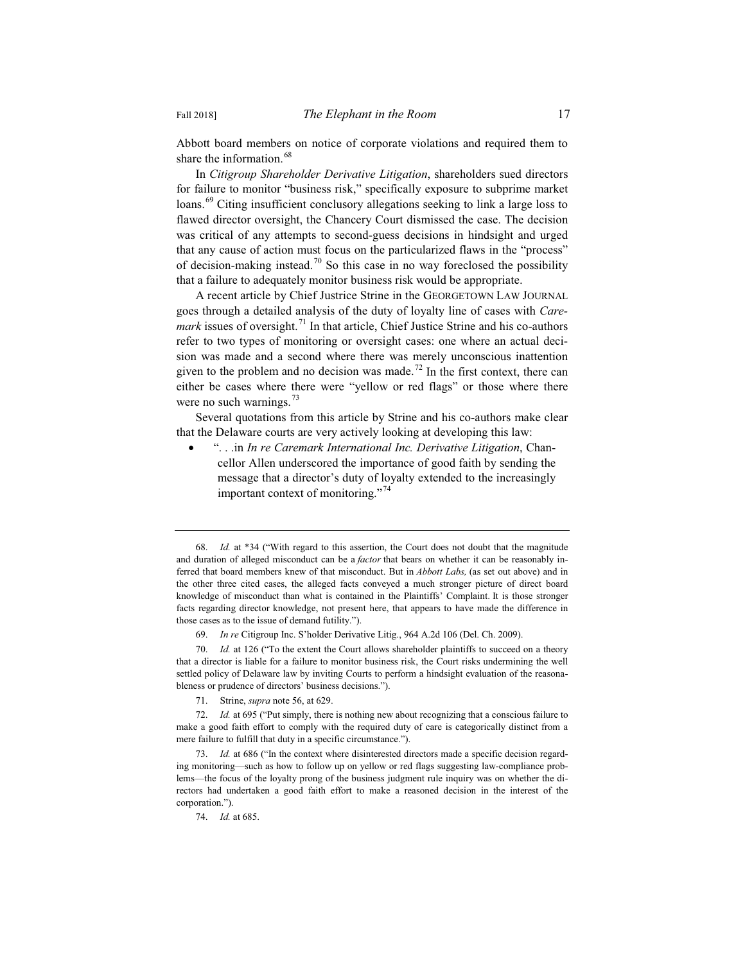Abbott board members on notice of corporate violations and required them to share the information.<sup>68</sup>

In *Citigroup Shareholder Derivative Litigation*, shareholders sued directors for failure to monitor "business risk," specifically exposure to subprime market loans.<sup>69</sup> Citing insufficient conclusory allegations seeking to link a large loss to flawed director oversight, the Chancery Court dismissed the case. The decision was critical of any attempts to second-guess decisions in hindsight and urged that any cause of action must focus on the particularized flaws in the "process" of decision-making instead.<sup>70</sup> So this case in no way foreclosed the possibility that a failure to adequately monitor business risk would be appropriate.

A recent article by Chief Justrice Strine in the GEORGETOWN LAW JOURNAL goes through a detailed analysis of the duty of loyalty line of cases with *Caremark* issues of oversight.<sup>71</sup> In that article, Chief Justice Strine and his co-authors refer to two types of monitoring or oversight cases: one where an actual decision was made and a second where there was merely unconscious inattention given to the problem and no decision was made.<sup>72</sup> In the first context, there can either be cases where there were "yellow or red flags" or those where there were no such warnings. $73$ 

Several quotations from this article by Strine and his co-authors make clear that the Delaware courts are very actively looking at developing this law:

x ". . .in *In re Caremark International Inc. Derivative Litigation*, Chancellor Allen underscored the importance of good faith by sending the message that a director's duty of loyalty extended to the increasingly important context of monitoring."<sup>74</sup>

71. Strine, *supra* note 56, at 629.

<sup>68.</sup> *Id.* at \*34 ("With regard to this assertion, the Court does not doubt that the magnitude and duration of alleged misconduct can be a *factor* that bears on whether it can be reasonably inferred that board members knew of that misconduct. But in *Abbott Labs,* (as set out above) and in the other three cited cases, the alleged facts conveyed a much stronger picture of direct board knowledge of misconduct than what is contained in the Plaintiffs' Complaint. It is those stronger facts regarding director knowledge, not present here, that appears to have made the difference in those cases as to the issue of demand futility.").

<sup>69.</sup> *In re* Citigroup Inc. S'holder Derivative Litig., 964 A.2d 106 (Del. Ch. 2009).

<sup>70.</sup> *Id.* at 126 ("To the extent the Court allows shareholder plaintiffs to succeed on a theory that a director is liable for a failure to monitor business risk, the Court risks undermining the well settled policy of Delaware law by inviting Courts to perform a hindsight evaluation of the reasonableness or prudence of directors' business decisions.").

<sup>72.</sup> *Id.* at 695 ("Put simply, there is nothing new about recognizing that a conscious failure to make a good faith effort to comply with the required duty of care is categorically distinct from a mere failure to fulfill that duty in a specific circumstance.").

<sup>73.</sup> *Id.* at 686 ("In the context where disinterested directors made a specific decision regarding monitoring—such as how to follow up on yellow or red flags suggesting law-compliance problems—the focus of the loyalty prong of the business judgment rule inquiry was on whether the directors had undertaken a good faith effort to make a reasoned decision in the interest of the corporation.").

<sup>74.</sup> *Id.* at 685.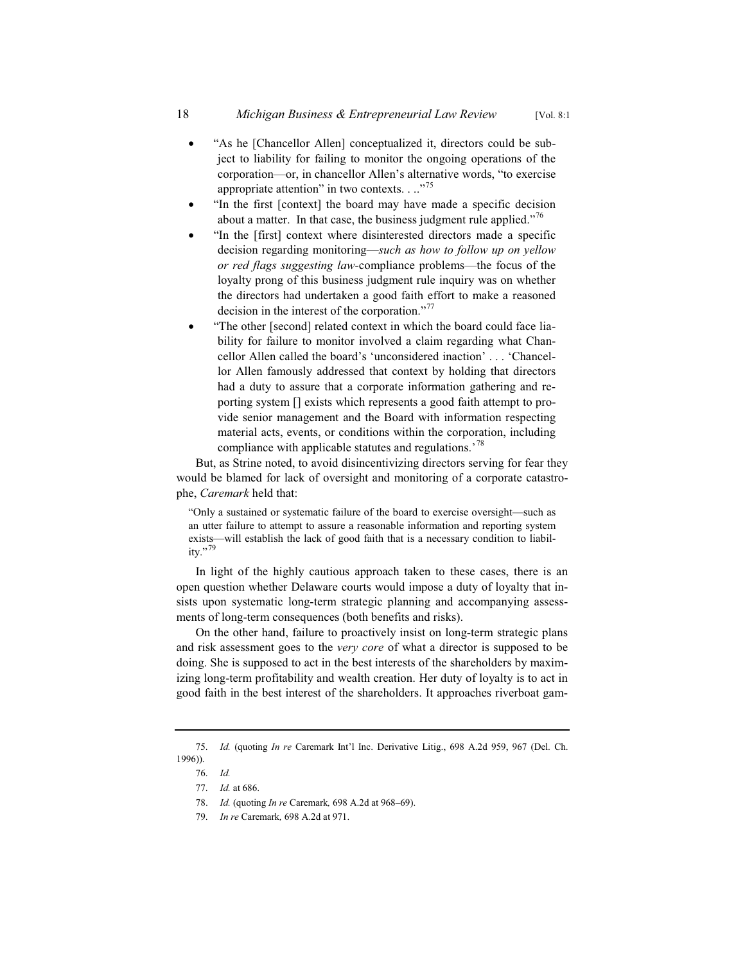- "As he [Chancellor Allen] conceptualized it, directors could be subject to liability for failing to monitor the ongoing operations of the corporation—or, in chancellor Allen's alternative words, "to exercise appropriate attention" in two contexts.  $\ldots$ <sup>75</sup>
- "In the first [context] the board may have made a specific decision about a matter. In that case, the business judgment rule applied."<sup>76</sup>
- "In the [first] context where disinterested directors made a specific decision regarding monitoring—*such as how to follow up on yellow or red flags suggesting law-*compliance problems—the focus of the loyalty prong of this business judgment rule inquiry was on whether the directors had undertaken a good faith effort to make a reasoned decision in the interest of the corporation."<sup>77</sup>
- "The other [second] related context in which the board could face liability for failure to monitor involved a claim regarding what Chancellor Allen called the board's 'unconsidered inaction' . . . 'Chancellor Allen famously addressed that context by holding that directors had a duty to assure that a corporate information gathering and reporting system [] exists which represents a good faith attempt to provide senior management and the Board with information respecting material acts, events, or conditions within the corporation, including compliance with applicable statutes and regulations.<sup>78</sup>

But, as Strine noted, to avoid disincentivizing directors serving for fear they would be blamed for lack of oversight and monitoring of a corporate catastrophe, *Caremark* held that:

"Only a sustained or systematic failure of the board to exercise oversight—such as an utter failure to attempt to assure a reasonable information and reporting system exists—will establish the lack of good faith that is a necessary condition to liability."<sup>79</sup>

In light of the highly cautious approach taken to these cases, there is an open question whether Delaware courts would impose a duty of loyalty that insists upon systematic long-term strategic planning and accompanying assessments of long-term consequences (both benefits and risks).

On the other hand, failure to proactively insist on long-term strategic plans and risk assessment goes to the *very core* of what a director is supposed to be doing. She is supposed to act in the best interests of the shareholders by maximizing long-term profitability and wealth creation. Her duty of loyalty is to act in good faith in the best interest of the shareholders. It approaches riverboat gam-

<sup>75.</sup> *Id.* (quoting *In re* Caremark Int'l Inc. Derivative Litig., 698 A.2d 959, 967 (Del. Ch. 1996)).

<sup>76.</sup> *Id.*

<sup>77.</sup> *Id.* at 686.

<sup>78.</sup> *Id.* (quoting *In re* Caremark*,* 698 A.2d at 968–69).

<sup>79.</sup> *In re* Caremark*,* 698 A.2d at 971.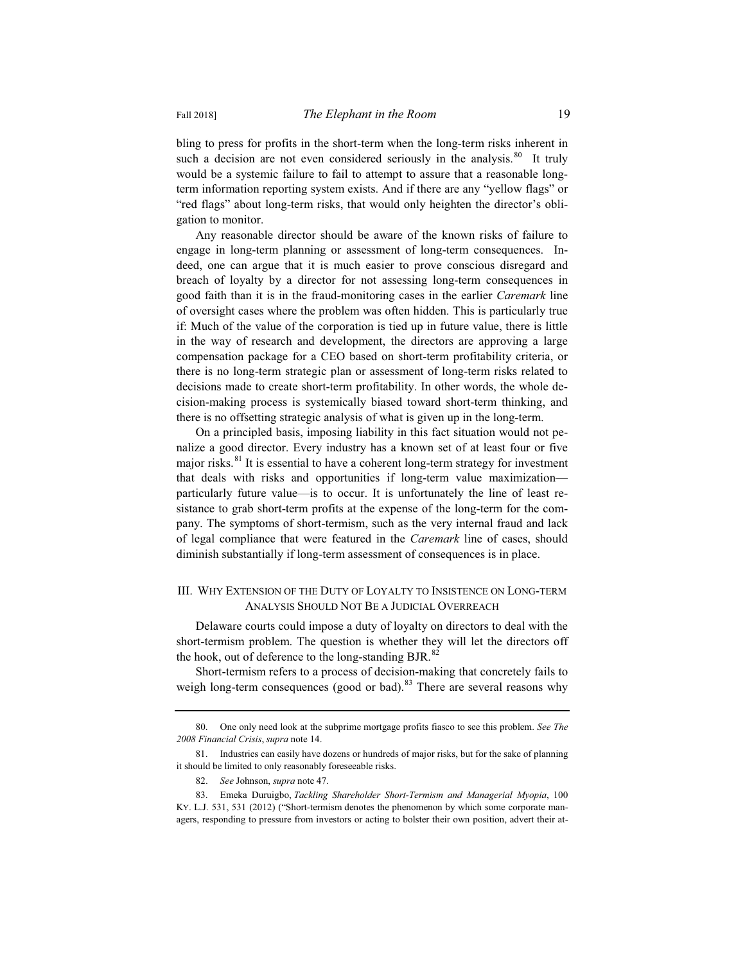bling to press for profits in the short-term when the long-term risks inherent in such a decision are not even considered seriously in the analysis.<sup>80</sup> It truly would be a systemic failure to fail to attempt to assure that a reasonable longterm information reporting system exists. And if there are any "yellow flags" or "red flags" about long-term risks, that would only heighten the director's obligation to monitor.

Any reasonable director should be aware of the known risks of failure to engage in long-term planning or assessment of long-term consequences. Indeed, one can argue that it is much easier to prove conscious disregard and breach of loyalty by a director for not assessing long-term consequences in good faith than it is in the fraud-monitoring cases in the earlier *Caremark* line of oversight cases where the problem was often hidden. This is particularly true if: Much of the value of the corporation is tied up in future value, there is little in the way of research and development, the directors are approving a large compensation package for a CEO based on short-term profitability criteria, or there is no long-term strategic plan or assessment of long-term risks related to decisions made to create short-term profitability. In other words, the whole decision-making process is systemically biased toward short-term thinking, and there is no offsetting strategic analysis of what is given up in the long-term.

On a principled basis, imposing liability in this fact situation would not penalize a good director. Every industry has a known set of at least four or five major risks. $81$  It is essential to have a coherent long-term strategy for investment that deals with risks and opportunities if long-term value maximization particularly future value—is to occur. It is unfortunately the line of least resistance to grab short-term profits at the expense of the long-term for the company. The symptoms of short-termism, such as the very internal fraud and lack of legal compliance that were featured in the *Caremark* line of cases, should diminish substantially if long-term assessment of consequences is in place.

#### III. WHY EXTENSION OF THE DUTY OF LOYALTY TO INSISTENCE ON LONG-TERM ANALYSIS SHOULD NOT BE A JUDICIAL OVERREACH

Delaware courts could impose a duty of loyalty on directors to deal with the short-termism problem. The question is whether they will let the directors off the hook, out of deference to the long-standing BJR. $^{82}$ 

Short-termism refers to a process of decision-making that concretely fails to weigh long-term consequences (good or bad).<sup>83</sup> There are several reasons why

<sup>80.</sup> One only need look at the subprime mortgage profits fiasco to see this problem. *See The 2008 Financial Crisis*, *supra* note 14.

<sup>81.</sup> Industries can easily have dozens or hundreds of major risks, but for the sake of planning it should be limited to only reasonably foreseeable risks.

<sup>82.</sup> *See* Johnson, *supra* note 47.

<sup>83.</sup> Emeka Duruigbo, *Tackling Shareholder Short-Termism and Managerial Myopia*, 100 KY. L.J. 531, 531 (2012) ("Short-termism denotes the phenomenon by which some corporate managers, responding to pressure from investors or acting to bolster their own position, advert their at-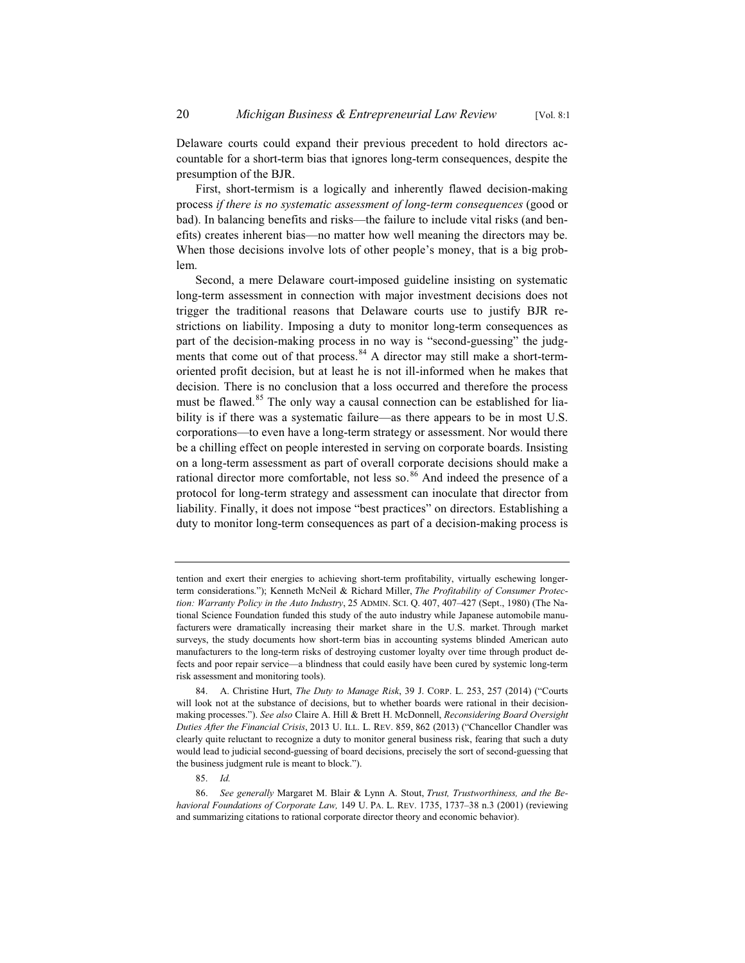Delaware courts could expand their previous precedent to hold directors accountable for a short-term bias that ignores long-term consequences, despite the presumption of the BJR.

First, short-termism is a logically and inherently flawed decision-making process *if there is no systematic assessment of long-term consequences* (good or bad). In balancing benefits and risks—the failure to include vital risks (and benefits) creates inherent bias—no matter how well meaning the directors may be. When those decisions involve lots of other people's money, that is a big problem.

Second, a mere Delaware court-imposed guideline insisting on systematic long-term assessment in connection with major investment decisions does not trigger the traditional reasons that Delaware courts use to justify BJR restrictions on liability. Imposing a duty to monitor long-term consequences as part of the decision-making process in no way is "second-guessing" the judgments that come out of that process.<sup>84</sup> A director may still make a short-termoriented profit decision, but at least he is not ill-informed when he makes that decision. There is no conclusion that a loss occurred and therefore the process must be flawed.<sup>85</sup> The only way a causal connection can be established for liability is if there was a systematic failure—as there appears to be in most U.S. corporations—to even have a long-term strategy or assessment. Nor would there be a chilling effect on people interested in serving on corporate boards. Insisting on a long-term assessment as part of overall corporate decisions should make a rational director more comfortable, not less so. $86$  And indeed the presence of a protocol for long-term strategy and assessment can inoculate that director from liability. Finally, it does not impose "best practices" on directors. Establishing a duty to monitor long-term consequences as part of a decision-making process is

85. *Id.*

tention and exert their energies to achieving short-term profitability, virtually eschewing longerterm considerations."); Kenneth McNeil & Richard Miller, *The Profitability of Consumer Protection: Warranty Policy in the Auto Industry*, 25 ADMIN. SCI. Q. 407, 407–427 (Sept., 1980) (The National Science Foundation funded this study of the auto industry while Japanese automobile manufacturers were dramatically increasing their market share in the U.S. market. Through market surveys, the study documents how short-term bias in accounting systems blinded American auto manufacturers to the long-term risks of destroying customer loyalty over time through product defects and poor repair service—a blindness that could easily have been cured by systemic long-term risk assessment and monitoring tools).

<sup>84.</sup> A. Christine Hurt, *The Duty to Manage Risk*, 39 J. CORP. L. 253, 257 (2014) ("Courts will look not at the substance of decisions, but to whether boards were rational in their decisionmaking processes."). *See also* Claire A. Hill & Brett H. McDonnell, *Reconsidering Board Oversight Duties After the Financial Crisis*, 2013 U. ILL. L. REV. 859, 862 (2013) ("Chancellor Chandler was clearly quite reluctant to recognize a duty to monitor general business risk, fearing that such a duty would lead to judicial second-guessing of board decisions, precisely the sort of second-guessing that the business judgment rule is meant to block.").

<sup>86.</sup> *See generally* Margaret M. Blair & Lynn A. Stout, *Trust, Trustworthiness, and the Behavioral Foundations of Corporate Law,* 149 U. PA. L. REV. 1735, 1737–38 n.3 (2001) (reviewing and summarizing citations to rational corporate director theory and economic behavior).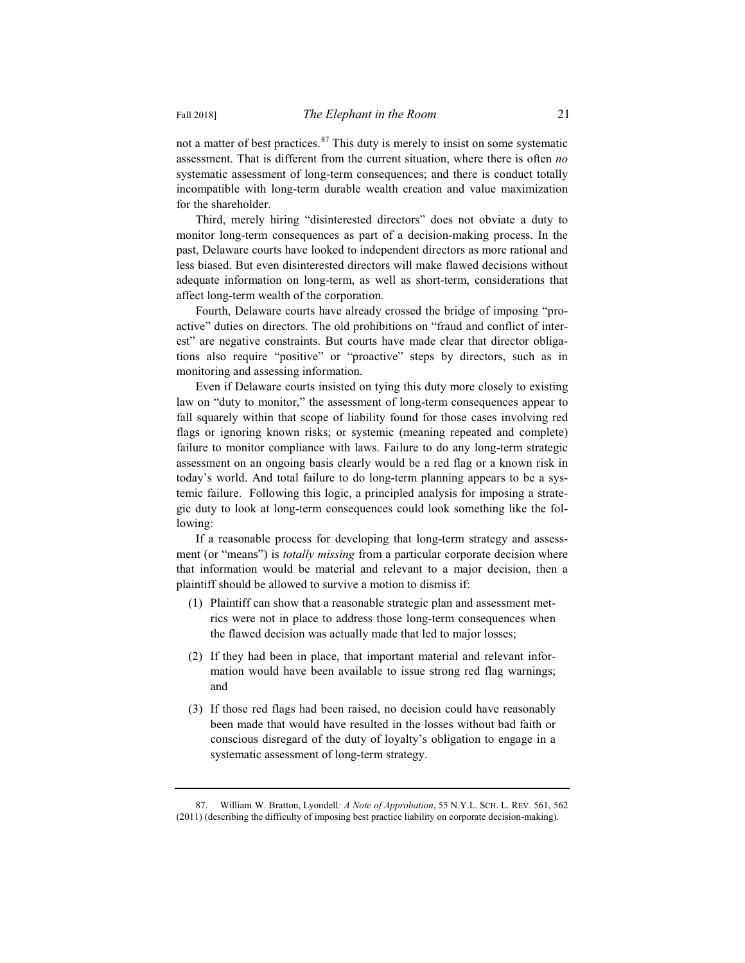not a matter of best practices. $87$  This duty is merely to insist on some systematic assessment. That is different from the current situation, where there is often *no* systematic assessment of long-term consequences; and there is conduct totally incompatible with long-term durable wealth creation and value maximization for the shareholder.

Third, merely hiring "disinterested directors" does not obviate a duty to monitor long-term consequences as part of a decision-making process. In the past, Delaware courts have looked to independent directors as more rational and less biased. But even disinterested directors will make flawed decisions without adequate information on long-term, as well as short-term, considerations that affect long-term wealth of the corporation.

Fourth, Delaware courts have already crossed the bridge of imposing "proactive" duties on directors. The old prohibitions on "fraud and conflict of interest" are negative constraints. But courts have made clear that director obligations also require "positive" or "proactive" steps by directors, such as in monitoring and assessing information.

Even if Delaware courts insisted on tying this duty more closely to existing law on "duty to monitor," the assessment of long-term consequences appear to fall squarely within that scope of liability found for those cases involving red flags or ignoring known risks; or systemic (meaning repeated and complete) failure to monitor compliance with laws. Failure to do any long-term strategic assessment on an ongoing basis clearly would be a red flag or a known risk in today's world. And total failure to do long-term planning appears to be a systemic failure. Following this logic, a principled analysis for imposing a strategic duty to look at long-term consequences could look something like the following:

If a reasonable process for developing that long-term strategy and assessment (or "means") is *totally missing* from a particular corporate decision where that information would be material and relevant to a major decision, then a plaintiff should be allowed to survive a motion to dismiss if:

- (1) Plaintiff can show that a reasonable strategic plan and assessment metrics were not in place to address those long-term consequences when the flawed decision was actually made that led to major losses;
- (2) If they had been in place, that important material and relevant information would have been available to issue strong red flag warnings; and
- (3) If those red flags had been raised, no decision could have reasonably been made that would have resulted in the losses without bad faith or conscious disregard of the duty of loyalty's obligation to engage in a systematic assessment of long-term strategy.

<sup>87.</sup> William W. Bratton, Lyondell*: A Note of Approbation*, 55 N.Y.L. SCH. L. REV. 561, 562 (2011) (describing the difficulty of imposing best practice liability on corporate decision-making).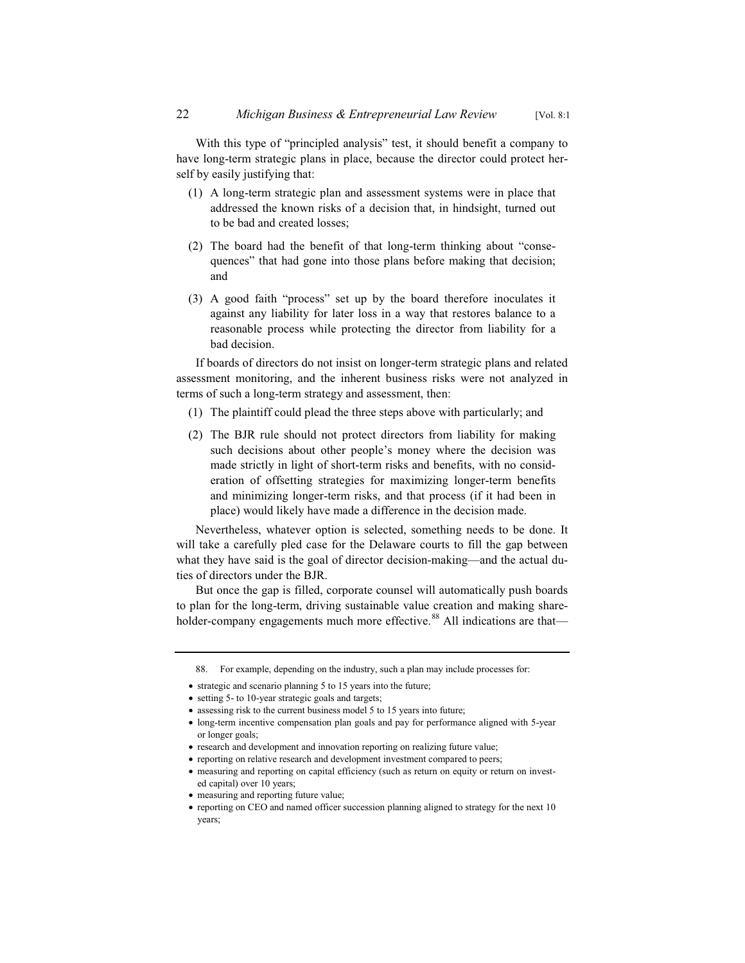With this type of "principled analysis" test, it should benefit a company to have long-term strategic plans in place, because the director could protect herself by easily justifying that:

- (1) A long-term strategic plan and assessment systems were in place that addressed the known risks of a decision that, in hindsight, turned out to be bad and created losses;
- (2) The board had the benefit of that long-term thinking about "consequences" that had gone into those plans before making that decision; and
- (3) A good faith "process" set up by the board therefore inoculates it against any liability for later loss in a way that restores balance to a reasonable process while protecting the director from liability for a bad decision.

If boards of directors do not insist on longer-term strategic plans and related assessment monitoring, and the inherent business risks were not analyzed in terms of such a long-term strategy and assessment, then:

- (1) The plaintiff could plead the three steps above with particularly; and
- (2) The BJR rule should not protect directors from liability for making such decisions about other people's money where the decision was made strictly in light of short-term risks and benefits, with no consideration of offsetting strategies for maximizing longer-term benefits and minimizing longer-term risks, and that process (if it had been in place) would likely have made a difference in the decision made.

Nevertheless, whatever option is selected, something needs to be done. It will take a carefully pled case for the Delaware courts to fill the gap between what they have said is the goal of director decision-making—and the actual duties of directors under the BJR.

But once the gap is filled, corporate counsel will automatically push boards to plan for the long-term, driving sustainable value creation and making shareholder-company engagements much more effective.<sup>88</sup> All indications are that—

<sup>88.</sup> For example, depending on the industry, such a plan may include processes for:

 $\bullet$  strategic and scenario planning 5 to 15 years into the future;

<sup>•</sup> setting 5- to 10-year strategic goals and targets;

 $\bullet$  assessing risk to the current business model 5 to 15 years into future;

x long-term incentive compensation plan goals and pay for performance aligned with 5-year or longer goals;

<sup>•</sup> research and development and innovation reporting on realizing future value;

<sup>•</sup> reporting on relative research and development investment compared to peers;

<sup>•</sup> measuring and reporting on capital efficiency (such as return on equity or return on invested capital) over 10 years;

 $\bullet$  measuring and reporting future value;

<sup>•</sup> reporting on CEO and named officer succession planning aligned to strategy for the next 10 years;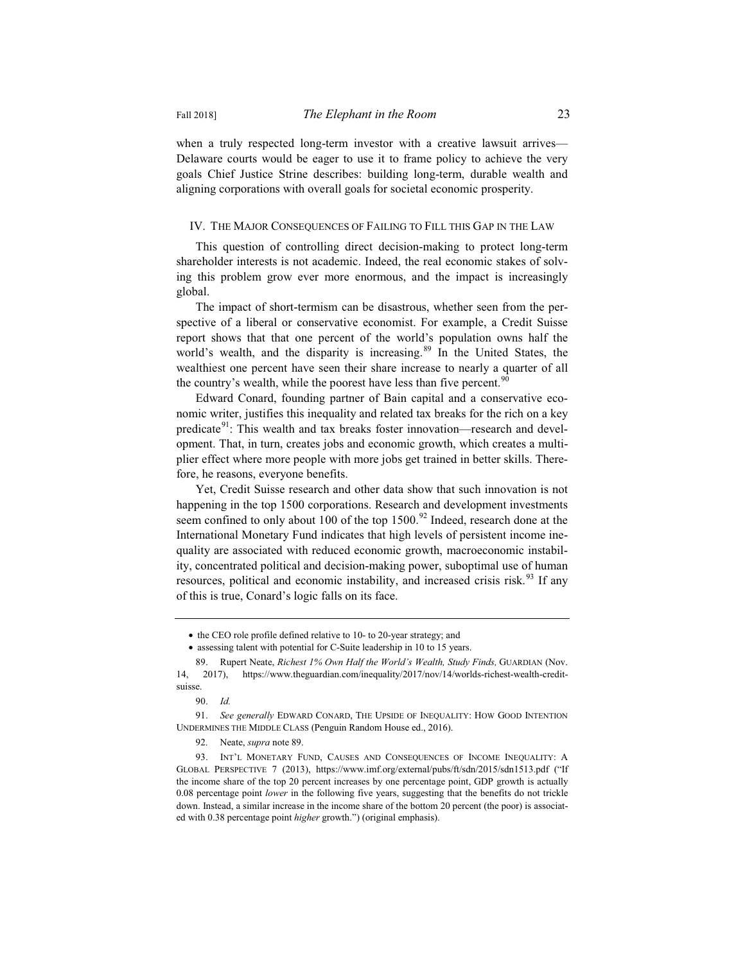when a truly respected long-term investor with a creative lawsuit arrives— Delaware courts would be eager to use it to frame policy to achieve the very goals Chief Justice Strine describes: building long-term, durable wealth and aligning corporations with overall goals for societal economic prosperity.

#### IV. THE MAJOR CONSEQUENCES OF FAILING TO FILL THIS GAP IN THE LAW

This question of controlling direct decision-making to protect long-term shareholder interests is not academic. Indeed, the real economic stakes of solving this problem grow ever more enormous, and the impact is increasingly global.

The impact of short-termism can be disastrous, whether seen from the perspective of a liberal or conservative economist. For example, a Credit Suisse report shows that that one percent of the world's population owns half the world's wealth, and the disparity is increasing.<sup>89</sup> In the United States, the wealthiest one percent have seen their share increase to nearly a quarter of all the country's wealth, while the poorest have less than five percent.  $90$ 

Edward Conard, founding partner of Bain capital and a conservative economic writer, justifies this inequality and related tax breaks for the rich on a key predicate<sup>91</sup>: This wealth and tax breaks foster innovation—research and development. That, in turn, creates jobs and economic growth, which creates a multiplier effect where more people with more jobs get trained in better skills. Therefore, he reasons, everyone benefits.

Yet, Credit Suisse research and other data show that such innovation is not happening in the top 1500 corporations. Research and development investments seem confined to only about 100 of the top  $1500$ .<sup>92</sup> Indeed, research done at the International Monetary Fund indicates that high levels of persistent income inequality are associated with reduced economic growth, macroeconomic instability, concentrated political and decision-making power, suboptimal use of human resources, political and economic instability, and increased crisis risk.<sup>93</sup> If any of this is true, Conard's logic falls on its face.

<sup>•</sup> the CEO role profile defined relative to 10- to 20-year strategy; and

<sup>•</sup> assessing talent with potential for C-Suite leadership in 10 to 15 years.

<sup>89.</sup> Rupert Neate, *Richest 1% Own Half the World's Wealth, Study Finds,* GUARDIAN (Nov. 14, 2017), https://www.theguardian.com/inequality/2017/nov/14/worlds-richest-wealth-creditsuisse.

<sup>90.</sup> *Id.*

<sup>91.</sup> *See generally* EDWARD CONARD, THE UPSIDE OF INEQUALITY: HOW GOOD INTENTION UNDERMINES THE MIDDLE CLASS (Penguin Random House ed., 2016).

<sup>92.</sup> Neate, *supra* note 89.

<sup>93.</sup> INT'L MONETARY FUND, CAUSES AND CONSEQUENCES OF INCOME INEQUALITY: A GLOBAL PERSPECTIVE 7 (2013), https://www.imf.org/external/pubs/ft/sdn/2015/sdn1513.pdf ("If the income share of the top 20 percent increases by one percentage point, GDP growth is actually 0.08 percentage point *lower* in the following five years, suggesting that the benefits do not trickle down. Instead, a similar increase in the income share of the bottom 20 percent (the poor) is associated with 0.38 percentage point *higher* growth.") (original emphasis).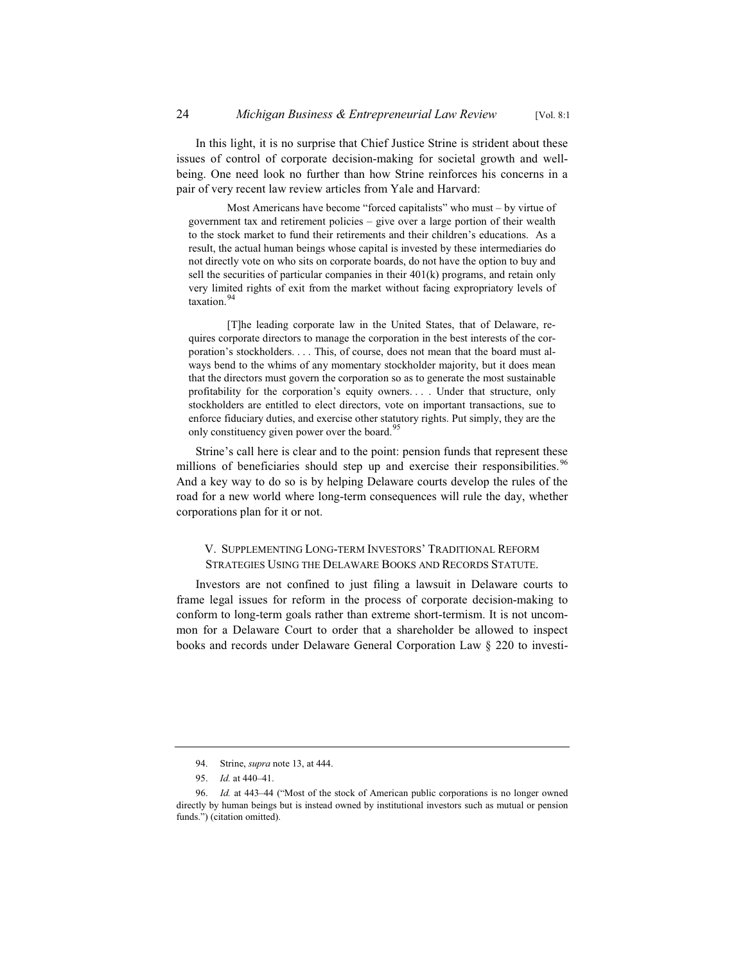In this light, it is no surprise that Chief Justice Strine is strident about these issues of control of corporate decision-making for societal growth and wellbeing. One need look no further than how Strine reinforces his concerns in a pair of very recent law review articles from Yale and Harvard:

Most Americans have become "forced capitalists" who must – by virtue of government tax and retirement policies – give over a large portion of their wealth to the stock market to fund their retirements and their children's educations. As a result, the actual human beings whose capital is invested by these intermediaries do not directly vote on who sits on corporate boards, do not have the option to buy and sell the securities of particular companies in their 401(k) programs, and retain only very limited rights of exit from the market without facing expropriatory levels of taxation.<sup>94</sup>

[T]he leading corporate law in the United States, that of Delaware, requires corporate directors to manage the corporation in the best interests of the corporation's stockholders. . . . This, of course, does not mean that the board must always bend to the whims of any momentary stockholder majority, but it does mean that the directors must govern the corporation so as to generate the most sustainable profitability for the corporation's equity owners. . . . Under that structure, only stockholders are entitled to elect directors, vote on important transactions, sue to enforce fiduciary duties, and exercise other statutory rights. Put simply, they are the only constituency given power over the board.<sup>95</sup>

Strine's call here is clear and to the point: pension funds that represent these millions of beneficiaries should step up and exercise their responsibilities.<sup>96</sup> And a key way to do so is by helping Delaware courts develop the rules of the road for a new world where long-term consequences will rule the day, whether corporations plan for it or not.

#### V. SUPPLEMENTING LONG-TERM INVESTORS' TRADITIONAL REFORM STRATEGIES USING THE DELAWARE BOOKS AND RECORDS STATUTE.

Investors are not confined to just filing a lawsuit in Delaware courts to frame legal issues for reform in the process of corporate decision-making to conform to long-term goals rather than extreme short-termism. It is not uncommon for a Delaware Court to order that a shareholder be allowed to inspect books and records under Delaware General Corporation Law § 220 to investi-

<sup>94.</sup> Strine, *supra* note 13, at 444.

<sup>95.</sup> *Id.* at 440–41.

<sup>96.</sup> *Id.* at 443–44 ("Most of the stock of American public corporations is no longer owned directly by human beings but is instead owned by institutional investors such as mutual or pension funds.") (citation omitted).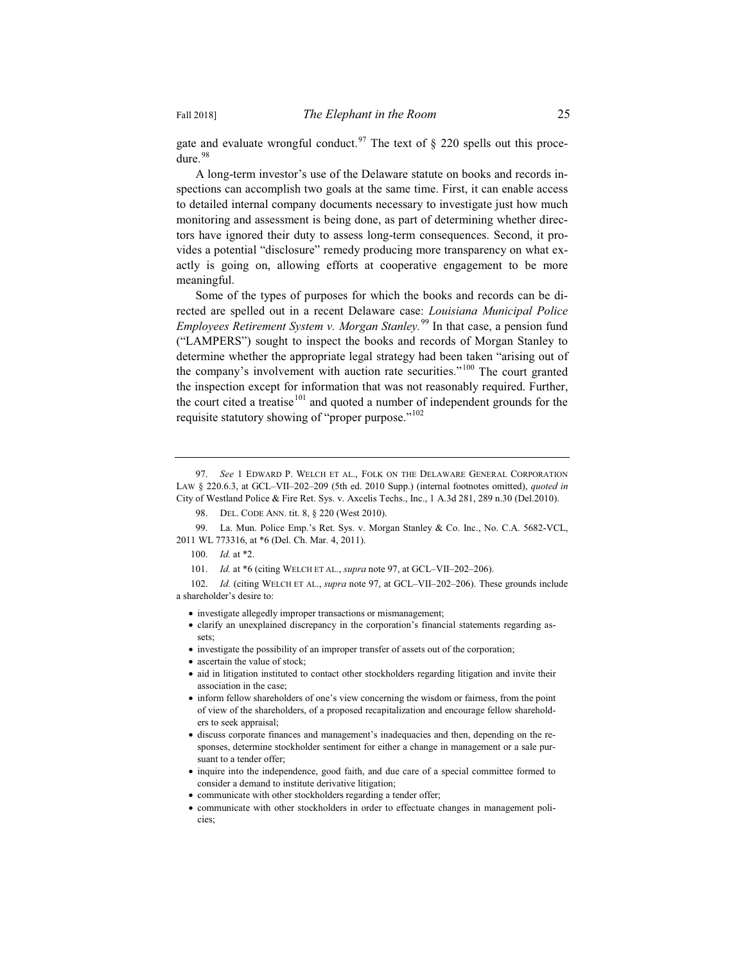gate and evaluate wrongful conduct.<sup>97</sup> The text of  $\S$  220 spells out this procedure.<sup>98</sup>

A long-term investor's use of the Delaware statute on books and records inspections can accomplish two goals at the same time. First, it can enable access to detailed internal company documents necessary to investigate just how much monitoring and assessment is being done, as part of determining whether directors have ignored their duty to assess long-term consequences. Second, it provides a potential "disclosure" remedy producing more transparency on what exactly is going on, allowing efforts at cooperative engagement to be more meaningful.

Some of the types of purposes for which the books and records can be directed are spelled out in a recent Delaware case: *Louisiana Municipal Police Employees Retirement System v. Morgan Stanley.*<sup>99</sup> In that case, a pension fund ("LAMPERS") sought to inspect the books and records of Morgan Stanley to determine whether the appropriate legal strategy had been taken "arising out of the company's involvement with auction rate securities."<sup>100</sup> The court granted the inspection except for information that was not reasonably required. Further, the court cited a treatise $101$  and quoted a number of independent grounds for the requisite statutory showing of "proper purpose."<sup>102</sup>

102. *Id.* (citing WELCH ET AL., *supra* note 97, at GCL–VII–202–206). These grounds include a shareholder's desire to:

• investigate allegedly improper transactions or mismanagement;

- clarify an unexplained discrepancy in the corporation's financial statements regarding assets;
- investigate the possibility of an improper transfer of assets out of the corporation;
- ascertain the value of stock;
- aid in litigation instituted to contact other stockholders regarding litigation and invite their association in the case;
- x inform fellow shareholders of one's view concerning the wisdom or fairness, from the point of view of the shareholders, of a proposed recapitalization and encourage fellow shareholders to seek appraisal;
- x discuss corporate finances and management's inadequacies and then, depending on the responses, determine stockholder sentiment for either a change in management or a sale pursuant to a tender offer;
- inquire into the independence, good faith, and due care of a special committee formed to consider a demand to institute derivative litigation;
- communicate with other stockholders regarding a tender offer;
- x communicate with other stockholders in order to effectuate changes in management policies;

<sup>97.</sup> *See* 1 EDWARD P. WELCH ET AL., FOLK ON THE DELAWARE GENERAL CORPORATION LAW § 220.6.3, at GCL–VII–202–209 (5th ed. 2010 Supp.) (internal footnotes omitted), *quoted in* City of Westland Police & Fire Ret. Sys. v. Axcelis Techs., Inc., 1 A.3d 281, 289 n.30 (Del.2010).

<sup>98.</sup> DEL. CODE ANN. tit. 8, § 220 (West 2010).

<sup>99.</sup> La. Mun. Police Emp.'s Ret. Sys. v. Morgan Stanley & Co. Inc., No. C.A. 5682-VCL, 2011 WL 773316, at \*6 (Del. Ch. Mar. 4, 2011).

<sup>100.</sup> *Id.* at \*2.

<sup>101.</sup> *Id.* at \*6 (citing WELCH ET AL., *supra* note 97, at GCL–VII–202–206).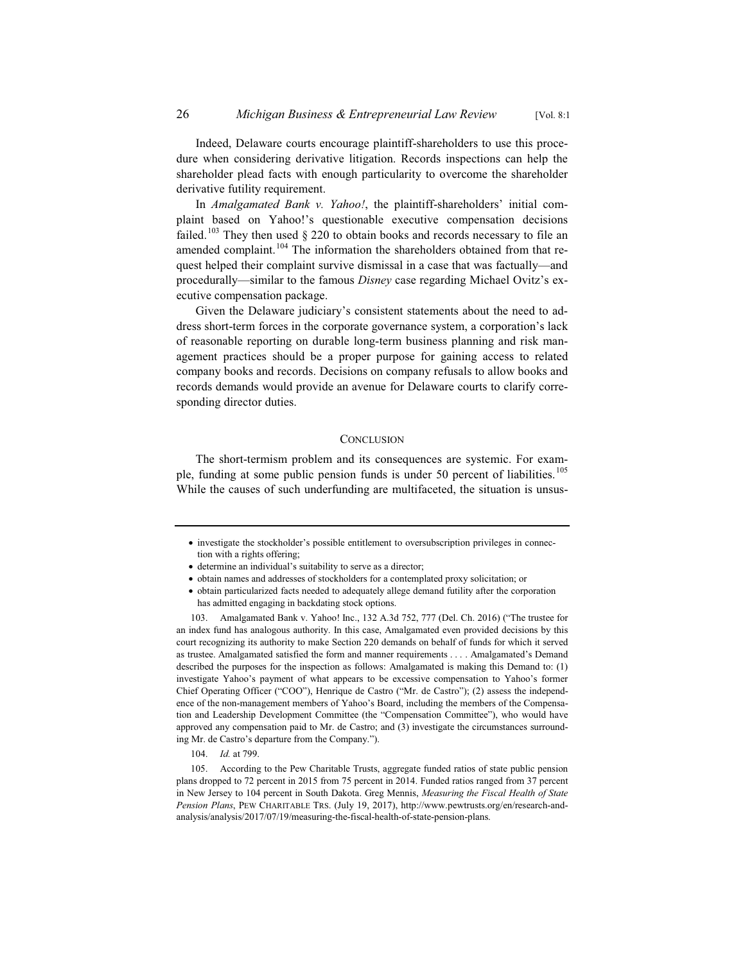Indeed, Delaware courts encourage plaintiff-shareholders to use this procedure when considering derivative litigation. Records inspections can help the shareholder plead facts with enough particularity to overcome the shareholder derivative futility requirement.

In *Amalgamated Bank v. Yahoo!*, the plaintiff-shareholders' initial complaint based on Yahoo!'s questionable executive compensation decisions failed.<sup>103</sup> They then used  $\S$  220 to obtain books and records necessary to file an amended complaint.<sup>104</sup> The information the shareholders obtained from that request helped their complaint survive dismissal in a case that was factually—and procedurally—similar to the famous *Disney* case regarding Michael Ovitz's executive compensation package.

Given the Delaware judiciary's consistent statements about the need to address short-term forces in the corporate governance system, a corporation's lack of reasonable reporting on durable long-term business planning and risk management practices should be a proper purpose for gaining access to related company books and records. Decisions on company refusals to allow books and records demands would provide an avenue for Delaware courts to clarify corresponding director duties.

#### **CONCLUSION**

The short-termism problem and its consequences are systemic. For example, funding at some public pension funds is under 50 percent of liabilities.<sup>105</sup> While the causes of such underfunding are multifaceted, the situation is unsus-

- investigate the stockholder's possible entitlement to oversubscription privileges in connection with a rights offering;
- determine an individual's suitability to serve as a director;
- x obtain names and addresses of stockholders for a contemplated proxy solicitation; or
- x obtain particularized facts needed to adequately allege demand futility after the corporation has admitted engaging in backdating stock options.

103. Amalgamated Bank v. Yahoo! Inc., 132 A.3d 752, 777 (Del. Ch. 2016) ("The trustee for an index fund has analogous authority. In this case, Amalgamated even provided decisions by this court recognizing its authority to make Section 220 demands on behalf of funds for which it served as trustee. Amalgamated satisfied the form and manner requirements . . . . Amalgamated's Demand described the purposes for the inspection as follows: Amalgamated is making this Demand to: (1) investigate Yahoo's payment of what appears to be excessive compensation to Yahoo's former Chief Operating Officer ("COO"), Henrique de Castro ("Mr. de Castro"); (2) assess the independence of the non-management members of Yahoo's Board, including the members of the Compensation and Leadership Development Committee (the "Compensation Committee"), who would have approved any compensation paid to Mr. de Castro; and (3) investigate the circumstances surrounding Mr. de Castro's departure from the Company.").

104. *Id.* at 799.

105. According to the Pew Charitable Trusts, aggregate funded ratios of state public pension plans dropped to 72 percent in 2015 from 75 percent in 2014. Funded ratios ranged from 37 percent in New Jersey to 104 percent in South Dakota. Greg Mennis, *Measuring the Fiscal Health of State Pension Plans*, PEW CHARITABLE TRS. (July 19, 2017), http://www.pewtrusts.org/en/research-andanalysis/analysis/2017/07/19/measuring-the-fiscal-health-of-state-pension-plans.